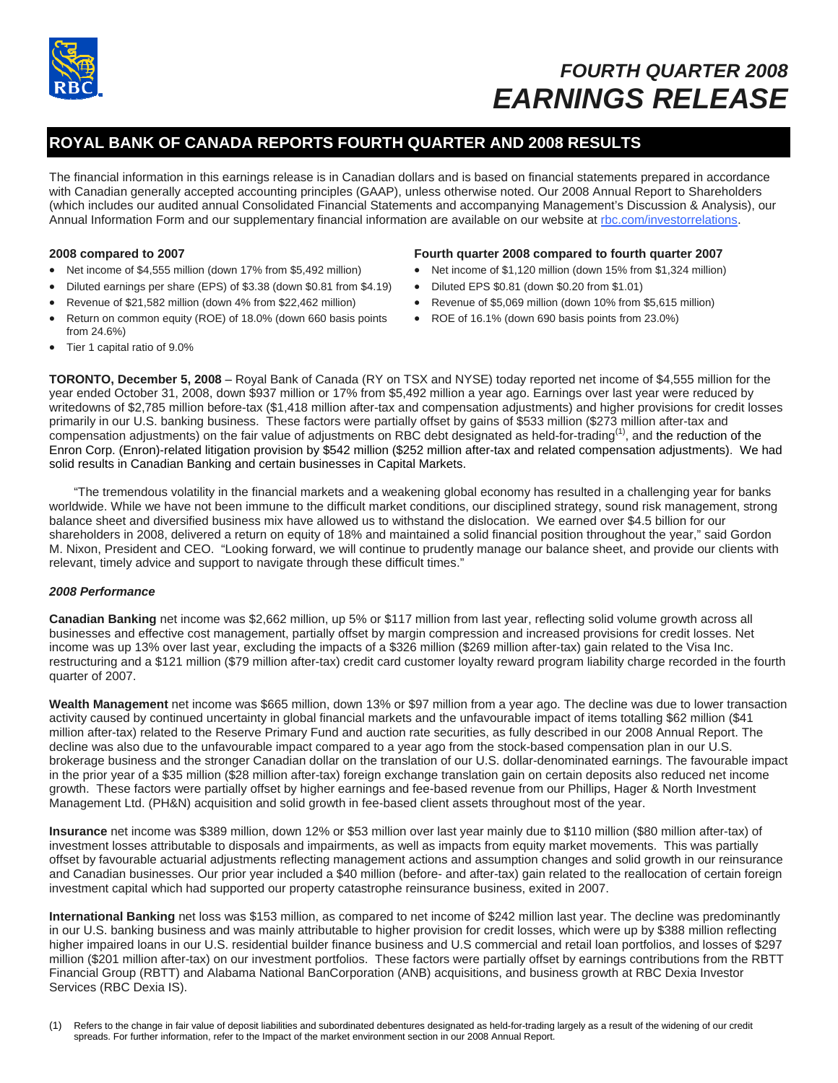

# *FOURTH QUARTER 2008 EARNINGS RELEASE*

# **ROYAL BANK OF CANADA REPORTS FOURTH QUARTER AND 2008 RESULTS**

The financial information in this earnings release is in Canadian dollars and is based on financial statements prepared in accordance with Canadian generally accepted accounting principles (GAAP), unless otherwise noted. Our 2008 Annual Report to Shareholders (which includes our audited annual Consolidated Financial Statements and accompanying Management's Discussion & Analysis), our Annual Information Form and our supplementary financial information are available on our website at rbc.com/investorrelations.

### **2008 compared to 2007**

- Net income of \$4,555 million (down 17% from \$5,492 million)
- Diluted earnings per share (EPS) of \$3.38 (down \$0.81 from \$4.19)
- Revenue of \$21,582 million (down 4% from \$22,462 million)
- Return on common equity (ROE) of 18.0% (down 660 basis points from 24.6%)

### **Fourth quarter 2008 compared to fourth quarter 2007**

- Net income of \$1,120 million (down 15% from \$1,324 million)
- Diluted EPS \$0.81 (down \$0.20 from \$1.01)
- Revenue of \$5,069 million (down 10% from \$5,615 million)
- ROE of 16.1% (down 690 basis points from 23.0%)

• Tier 1 capital ratio of 9.0%

**TORONTO, December 5, 2008** – Royal Bank of Canada (RY on TSX and NYSE) today reported net income of \$4,555 million for the year ended October 31, 2008, down \$937 million or 17% from \$5,492 million a year ago. Earnings over last year were reduced by writedowns of \$2,785 million before-tax (\$1,418 million after-tax and compensation adjustments) and higher provisions for credit losses primarily in our U.S. banking business. These factors were partially offset by gains of \$533 million (\$273 million after-tax and compensation adjustments) on the fair value of adjustments on RBC debt designated as held-for-trading<sup>(1)</sup>, and the reduction of the Enron Corp. (Enron)-related litigation provision by \$542 million (\$252 million after-tax and related compensation adjustments). We had solid results in Canadian Banking and certain businesses in Capital Markets.

 "The tremendous volatility in the financial markets and a weakening global economy has resulted in a challenging year for banks worldwide. While we have not been immune to the difficult market conditions, our disciplined strategy, sound risk management, strong balance sheet and diversified business mix have allowed us to withstand the dislocation. We earned over \$4.5 billion for our shareholders in 2008, delivered a return on equity of 18% and maintained a solid financial position throughout the year," said Gordon M. Nixon, President and CEO. "Looking forward, we will continue to prudently manage our balance sheet, and provide our clients with relevant, timely advice and support to navigate through these difficult times."

### *2008 Performance*

**Canadian Banking** net income was \$2,662 million, up 5% or \$117 million from last year, reflecting solid volume growth across all businesses and effective cost management, partially offset by margin compression and increased provisions for credit losses. Net income was up 13% over last year, excluding the impacts of a \$326 million (\$269 million after-tax) gain related to the Visa Inc. restructuring and a \$121 million (\$79 million after-tax) credit card customer loyalty reward program liability charge recorded in the fourth quarter of 2007.

**Wealth Management** net income was \$665 million, down 13% or \$97 million from a year ago. The decline was due to lower transaction activity caused by continued uncertainty in global financial markets and the unfavourable impact of items totalling \$62 million (\$41 million after-tax) related to the Reserve Primary Fund and auction rate securities, as fully described in our 2008 Annual Report. The decline was also due to the unfavourable impact compared to a year ago from the stock-based compensation plan in our U.S. brokerage business and the stronger Canadian dollar on the translation of our U.S. dollar-denominated earnings. The favourable impact in the prior year of a \$35 million (\$28 million after-tax) foreign exchange translation gain on certain deposits also reduced net income growth. These factors were partially offset by higher earnings and fee-based revenue from our Phillips, Hager & North Investment Management Ltd. (PH&N) acquisition and solid growth in fee-based client assets throughout most of the year.

**Insurance** net income was \$389 million, down 12% or \$53 million over last year mainly due to \$110 million (\$80 million after-tax) of investment losses attributable to disposals and impairments, as well as impacts from equity market movements. This was partially offset by favourable actuarial adjustments reflecting management actions and assumption changes and solid growth in our reinsurance and Canadian businesses. Our prior year included a \$40 million (before- and after-tax) gain related to the reallocation of certain foreign investment capital which had supported our property catastrophe reinsurance business, exited in 2007.

**International Banking** net loss was \$153 million, as compared to net income of \$242 million last year. The decline was predominantly in our U.S. banking business and was mainly attributable to higher provision for credit losses, which were up by \$388 million reflecting higher impaired loans in our U.S. residential builder finance business and U.S commercial and retail loan portfolios, and losses of \$297 million (\$201 million after-tax) on our investment portfolios. These factors were partially offset by earnings contributions from the RBTT Financial Group (RBTT) and Alabama National BanCorporation (ANB) acquisitions, and business growth at RBC Dexia Investor Services (RBC Dexia IS).

(1) Refers to the change in fair value of deposit liabilities and subordinated debentures designated as held-for-trading largely as a result of the widening of our credit spreads. For further information, refer to the Impact of the market environment section in our 2008 Annual Report.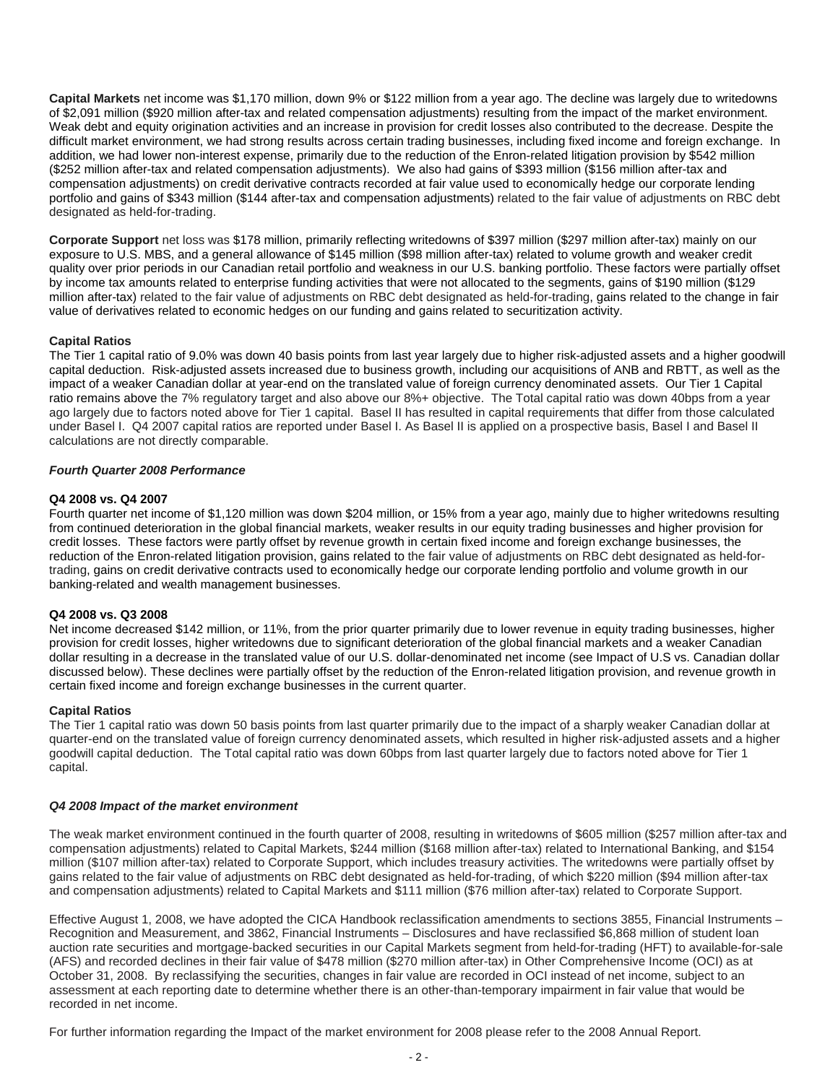**Capital Markets** net income was \$1,170 million, down 9% or \$122 million from a year ago. The decline was largely due to writedowns of \$2,091 million (\$920 million after-tax and related compensation adjustments) resulting from the impact of the market environment. Weak debt and equity origination activities and an increase in provision for credit losses also contributed to the decrease. Despite the difficult market environment, we had strong results across certain trading businesses, including fixed income and foreign exchange. In addition, we had lower non-interest expense, primarily due to the reduction of the Enron-related litigation provision by \$542 million (\$252 million after-tax and related compensation adjustments). We also had gains of \$393 million (\$156 million after-tax and compensation adjustments) on credit derivative contracts recorded at fair value used to economically hedge our corporate lending portfolio and gains of \$343 million (\$144 after-tax and compensation adjustments) related to the fair value of adjustments on RBC debt designated as held-for-trading.

**Corporate Support** net loss was \$178 million, primarily reflecting writedowns of \$397 million (\$297 million after-tax) mainly on our exposure to U.S. MBS, and a general allowance of \$145 million (\$98 million after-tax) related to volume growth and weaker credit quality over prior periods in our Canadian retail portfolio and weakness in our U.S. banking portfolio. These factors were partially offset by income tax amounts related to enterprise funding activities that were not allocated to the segments, gains of \$190 million (\$129 million after-tax) related to the fair value of adjustments on RBC debt designated as held-for-trading, gains related to the change in fair value of derivatives related to economic hedges on our funding and gains related to securitization activity.

### **Capital Ratios**

The Tier 1 capital ratio of 9.0% was down 40 basis points from last year largely due to higher risk-adjusted assets and a higher goodwill capital deduction. Risk-adjusted assets increased due to business growth, including our acquisitions of ANB and RBTT, as well as the impact of a weaker Canadian dollar at year-end on the translated value of foreign currency denominated assets. Our Tier 1 Capital ratio remains above the 7% regulatory target and also above our 8%+ objective. The Total capital ratio was down 40bps from a year ago largely due to factors noted above for Tier 1 capital.Basel II has resulted in capital requirements that differ from those calculated under Basel I. Q4 2007 capital ratios are reported under Basel I. As Basel II is applied on a prospective basis, Basel I and Basel II calculations are not directly comparable.

### *Fourth Quarter 2008 Performance*

### **Q4 2008 vs. Q4 2007**

Fourth quarter net income of \$1,120 million was down \$204 million, or 15% from a year ago, mainly due to higher writedowns resulting from continued deterioration in the global financial markets, weaker results in our equity trading businesses and higher provision for credit losses. These factors were partly offset by revenue growth in certain fixed income and foreign exchange businesses, the reduction of the Enron-related litigation provision, gains related to the fair value of adjustments on RBC debt designated as held-fortrading, gains on credit derivative contracts used to economically hedge our corporate lending portfolio and volume growth in our banking-related and wealth management businesses.

### **Q4 2008 vs. Q3 2008**

Net income decreased \$142 million, or 11%, from the prior quarter primarily due to lower revenue in equity trading businesses, higher provision for credit losses, higher writedowns due to significant deterioration of the global financial markets and a weaker Canadian dollar resulting in a decrease in the translated value of our U.S. dollar-denominated net income (see Impact of U.S vs. Canadian dollar discussed below). These declines were partially offset by the reduction of the Enron-related litigation provision, and revenue growth in certain fixed income and foreign exchange businesses in the current quarter.

### **Capital Ratios**

The Tier 1 capital ratio was down 50 basis points from last quarter primarily due to the impact of a sharply weaker Canadian dollar at quarter-end on the translated value of foreign currency denominated assets, which resulted in higher risk-adjusted assets and a higher goodwill capital deduction. The Total capital ratio was down 60bps from last quarter largely due to factors noted above for Tier 1 capital.

### *Q4 2008 Impact of the market environment*

The weak market environment continued in the fourth quarter of 2008, resulting in writedowns of \$605 million (\$257 million after-tax and compensation adjustments) related to Capital Markets, \$244 million (\$168 million after-tax) related to International Banking, and \$154 million (\$107 million after-tax) related to Corporate Support, which includes treasury activities. The writedowns were partially offset by gains related to the fair value of adjustments on RBC debt designated as held-for-trading, of which \$220 million (\$94 million after-tax and compensation adjustments) related to Capital Markets and \$111 million (\$76 million after-tax) related to Corporate Support.

Effective August 1, 2008, we have adopted the CICA Handbook reclassification amendments to sections 3855, Financial Instruments – Recognition and Measurement, and 3862, Financial Instruments – Disclosures and have reclassified \$6,868 million of student loan auction rate securities and mortgage-backed securities in our Capital Markets segment from held-for-trading (HFT) to available-for-sale (AFS) and recorded declines in their fair value of \$478 million (\$270 million after-tax) in Other Comprehensive Income (OCI) as at October 31, 2008. By reclassifying the securities, changes in fair value are recorded in OCI instead of net income, subject to an assessment at each reporting date to determine whether there is an other-than-temporary impairment in fair value that would be recorded in net income.

For further information regarding the Impact of the market environment for 2008 please refer to the 2008 Annual Report.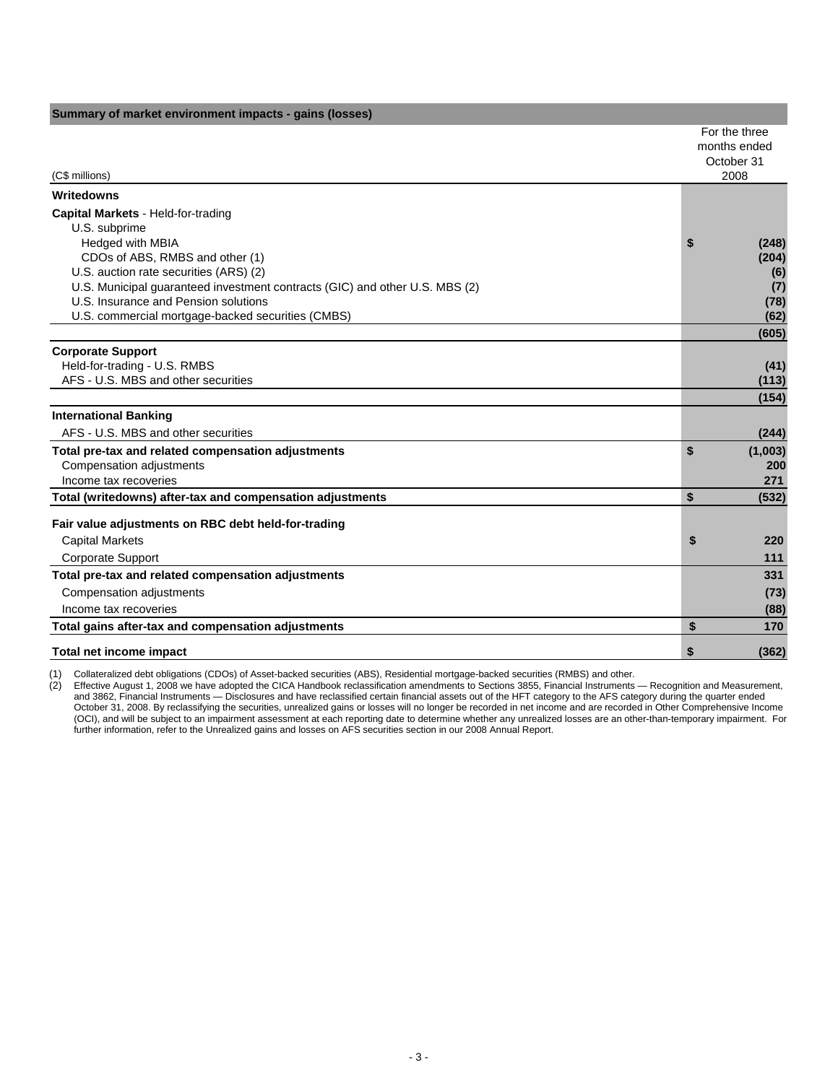| Summary of market environment impacts - gains (losses)                                                                                                                                                                                                                      |    |                                                     |
|-----------------------------------------------------------------------------------------------------------------------------------------------------------------------------------------------------------------------------------------------------------------------------|----|-----------------------------------------------------|
| (C\$ millions)                                                                                                                                                                                                                                                              |    | For the three<br>months ended<br>October 31<br>2008 |
| Writedowns                                                                                                                                                                                                                                                                  |    |                                                     |
| Capital Markets - Held-for-trading<br>U.S. subprime<br>Hedged with MBIA<br>CDOs of ABS, RMBS and other (1)<br>U.S. auction rate securities (ARS) (2)<br>U.S. Municipal guaranteed investment contracts (GIC) and other U.S. MBS (2)<br>U.S. Insurance and Pension solutions | S  | (248)<br>(204)<br>(6)<br>(7)<br>(78)                |
| U.S. commercial mortgage-backed securities (CMBS)                                                                                                                                                                                                                           |    | (62)<br>(605)                                       |
| <b>Corporate Support</b><br>Held-for-trading - U.S. RMBS<br>AFS - U.S. MBS and other securities                                                                                                                                                                             |    | (41)<br>(113)<br>(154)                              |
| <b>International Banking</b>                                                                                                                                                                                                                                                |    |                                                     |
| AFS - U.S. MBS and other securities                                                                                                                                                                                                                                         |    | (244)                                               |
| Total pre-tax and related compensation adjustments<br>Compensation adjustments<br>Income tax recoveries                                                                                                                                                                     | \$ | (1,003)<br>200<br>271                               |
| Total (writedowns) after-tax and compensation adjustments                                                                                                                                                                                                                   | \$ | (532)                                               |
| Fair value adjustments on RBC debt held-for-trading<br><b>Capital Markets</b><br>Corporate Support                                                                                                                                                                          | \$ | 220<br>111                                          |
| Total pre-tax and related compensation adjustments                                                                                                                                                                                                                          |    | 331                                                 |
| Compensation adjustments                                                                                                                                                                                                                                                    |    | (73)                                                |
| Income tax recoveries                                                                                                                                                                                                                                                       |    | (88)                                                |
| Total gains after-tax and compensation adjustments                                                                                                                                                                                                                          | \$ | 170                                                 |
| Total net income impact                                                                                                                                                                                                                                                     | \$ | (362)                                               |

(1) Collateralized debt obligations (CDOs) of Asset-backed securities (ABS), Residential mortgage-backed securities (RMBS) and other. Effective August 1, 2008 we have adopted the CICA Handbook reclassification amendments to Sections 3855, Financial Instruments — Recognition and Measurement, and 3862, Financial Instruments — Disclosures and have reclassified certain financial assets out of the HFT category to the AFS category during the quarter ended October 31, 2008. By reclassifying the securities, unrealized gains or losses will no longer be recorded in net income and are recorded in Other Comprehensive Income (OCI), and will be subject to an impairment assessment at each reporting date to determine whether any unrealized losses are an other-than-temporary impairment. For further information, refer to the Unrealized gains and losses on AFS securities section in our 2008 Annual Report.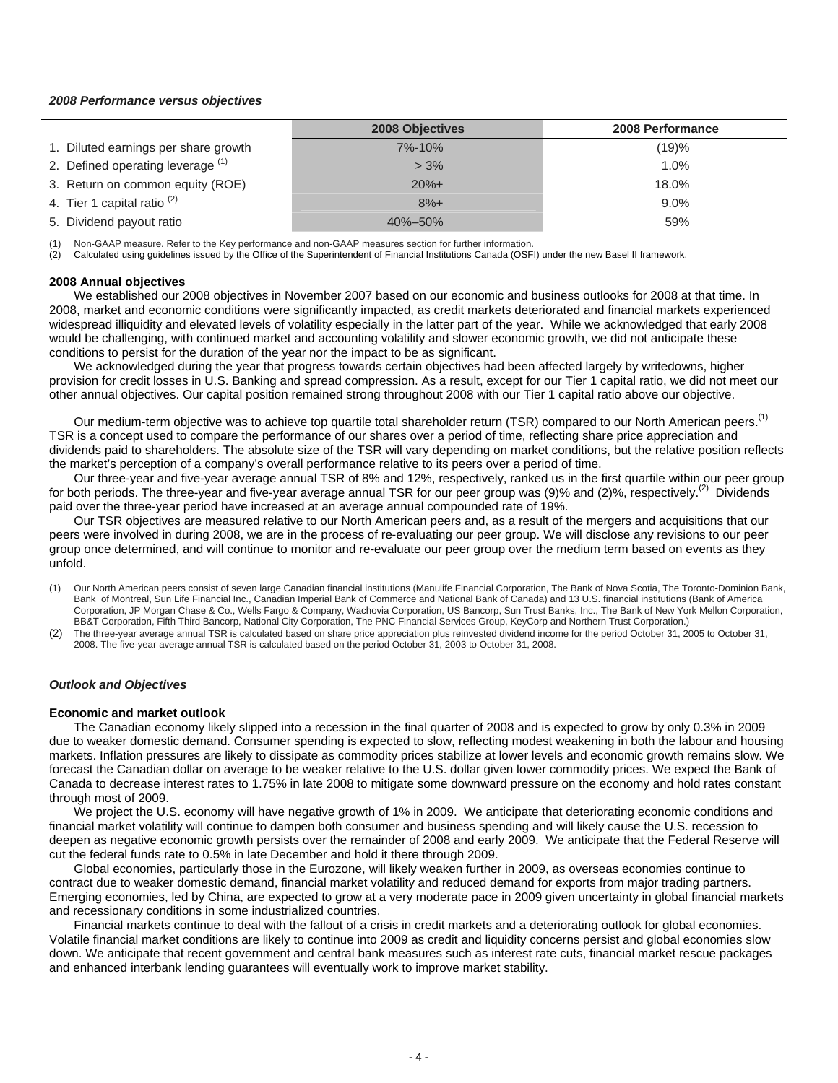#### *2008 Performance versus objectives*

|                                      | <b>2008 Objectives</b> | 2008 Performance |
|--------------------------------------|------------------------|------------------|
| 1. Diluted earnings per share growth | $7\% - 10\%$           | (19)%            |
| 2. Defined operating leverage (1)    | $> 3\%$                | 1.0%             |
| 3. Return on common equity (ROE)     | $20%+$                 | 18.0%            |
| 4. Tier 1 capital ratio $(2)$        | $8%+$                  | 9.0%             |
| 5. Dividend payout ratio             | 40%-50%                | 59%              |

(1) Non-GAAP measure. Refer to the Key performance and non-GAAP measures section for further information.

(2) Calculated using guidelines issued by the Office of the Superintendent of Financial Institutions Canada (OSFI) under the new Basel II framework.

#### **2008 Annual objectives**

We established our 2008 objectives in November 2007 based on our economic and business outlooks for 2008 at that time. In 2008, market and economic conditions were significantly impacted, as credit markets deteriorated and financial markets experienced widespread illiquidity and elevated levels of volatility especially in the latter part of the year. While we acknowledged that early 2008 would be challenging, with continued market and accounting volatility and slower economic growth, we did not anticipate these conditions to persist for the duration of the year nor the impact to be as significant.

We acknowledged during the year that progress towards certain objectives had been affected largely by writedowns, higher provision for credit losses in U.S. Banking and spread compression. As a result, except for our Tier 1 capital ratio, we did not meet our other annual objectives. Our capital position remained strong throughout 2008 with our Tier 1 capital ratio above our objective.

Our medium-term objective was to achieve top quartile total shareholder return (TSR) compared to our North American peers.<sup>(1)</sup> TSR is a concept used to compare the performance of our shares over a period of time, reflecting share price appreciation and dividends paid to shareholders. The absolute size of the TSR will vary depending on market conditions, but the relative position reflects the market's perception of a company's overall performance relative to its peers over a period of time.

Our three-year and five-year average annual TSR of 8% and 12%, respectively, ranked us in the first quartile within our peer group for both periods. The three-year and five-year average annual TSR for our peer group was  $(9)$ % and  $(2)$ %, respectively.<sup>(2)</sup> Dividends paid over the three-year period have increased at an average annual compounded rate of 19%.

Our TSR objectives are measured relative to our North American peers and, as a result of the mergers and acquisitions that our peers were involved in during 2008, we are in the process of re-evaluating our peer group. We will disclose any revisions to our peer group once determined, and will continue to monitor and re-evaluate our peer group over the medium term based on events as they unfold.

(1) Our North American peers consist of seven large Canadian financial institutions (Manulife Financial Corporation, The Bank of Nova Scotia, The Toronto-Dominion Bank, Bank of Montreal, Sun Life Financial Inc., Canadian Imperial Bank of Commerce and National Bank of Canada) and 13 U.S. financial institutions (Bank of America Corporation, JP Morgan Chase & Co., Wells Fargo & Company, Wachovia Corporation, US Bancorp, Sun Trust Banks, Inc., The Bank of New York Mellon Corporation, BB&T Corporation, Fifth Third Bancorp, National City Corporation, The PNC Financial Services Group, KeyCorp and Northern Trust Corporation.)

(2) The three-year average annual TSR is calculated based on share price appreciation plus reinvested dividend income for the period October 31, 2005 to October 31, 2008. The five-year average annual TSR is calculated based on the period October 31, 2003 to October 31, 2008.

### *Outlook and Objectives*

#### **Economic and market outlook**

The Canadian economy likely slipped into a recession in the final quarter of 2008 and is expected to grow by only 0.3% in 2009 due to weaker domestic demand. Consumer spending is expected to slow, reflecting modest weakening in both the labour and housing markets. Inflation pressures are likely to dissipate as commodity prices stabilize at lower levels and economic growth remains slow. We forecast the Canadian dollar on average to be weaker relative to the U.S. dollar given lower commodity prices. We expect the Bank of Canada to decrease interest rates to 1.75% in late 2008 to mitigate some downward pressure on the economy and hold rates constant through most of 2009.

We project the U.S. economy will have negative growth of 1% in 2009. We anticipate that deteriorating economic conditions and financial market volatility will continue to dampen both consumer and business spending and will likely cause the U.S. recession to deepen as negative economic growth persists over the remainder of 2008 and early 2009. We anticipate that the Federal Reserve will cut the federal funds rate to 0.5% in late December and hold it there through 2009.

Global economies, particularly those in the Eurozone, will likely weaken further in 2009, as overseas economies continue to contract due to weaker domestic demand, financial market volatility and reduced demand for exports from major trading partners. Emerging economies, led by China, are expected to grow at a very moderate pace in 2009 given uncertainty in global financial markets and recessionary conditions in some industrialized countries.

Financial markets continue to deal with the fallout of a crisis in credit markets and a deteriorating outlook for global economies. Volatile financial market conditions are likely to continue into 2009 as credit and liquidity concerns persist and global economies slow down. We anticipate that recent government and central bank measures such as interest rate cuts, financial market rescue packages and enhanced interbank lending guarantees will eventually work to improve market stability.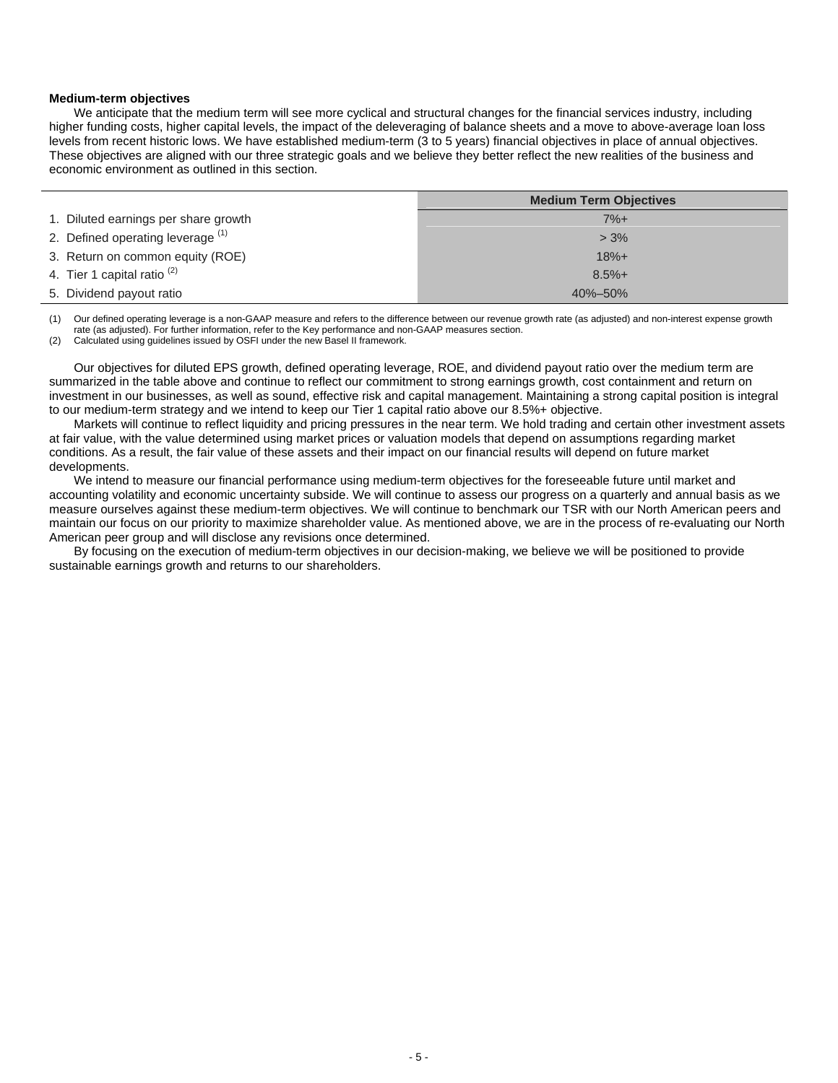### **Medium-term objectives**

We anticipate that the medium term will see more cyclical and structural changes for the financial services industry, including higher funding costs, higher capital levels, the impact of the deleveraging of balance sheets and a move to above-average loan loss levels from recent historic lows. We have established medium-term (3 to 5 years) financial objectives in place of annual objectives. These objectives are aligned with our three strategic goals and we believe they better reflect the new realities of the business and economic environment as outlined in this section.

|                                        | <b>Medium Term Objectives</b> |
|----------------------------------------|-------------------------------|
| 1. Diluted earnings per share growth   | $7%+$                         |
| 2. Defined operating leverage (1)      | $> 3\%$                       |
| 3. Return on common equity (ROE)       | $18% +$                       |
| 4. Tier 1 capital ratio <sup>(2)</sup> | $8.5%+$                       |
| 5. Dividend payout ratio               | $40\% - 50\%$                 |

(1) Our defined operating leverage is a non-GAAP measure and refers to the difference between our revenue growth rate (as adjusted) and non-interest expense growth rate (as adjusted). For further information, refer to the Key performance and non-GAAP measures section.

(2) Calculated using guidelines issued by OSFI under the new Basel II framework.

Our objectives for diluted EPS growth, defined operating leverage, ROE, and dividend payout ratio over the medium term are summarized in the table above and continue to reflect our commitment to strong earnings growth, cost containment and return on investment in our businesses, as well as sound, effective risk and capital management. Maintaining a strong capital position is integral to our medium-term strategy and we intend to keep our Tier 1 capital ratio above our 8.5%+ objective.

Markets will continue to reflect liquidity and pricing pressures in the near term. We hold trading and certain other investment assets at fair value, with the value determined using market prices or valuation models that depend on assumptions regarding market conditions. As a result, the fair value of these assets and their impact on our financial results will depend on future market developments.

We intend to measure our financial performance using medium-term objectives for the foreseeable future until market and accounting volatility and economic uncertainty subside. We will continue to assess our progress on a quarterly and annual basis as we measure ourselves against these medium-term objectives. We will continue to benchmark our TSR with our North American peers and maintain our focus on our priority to maximize shareholder value. As mentioned above, we are in the process of re-evaluating our North American peer group and will disclose any revisions once determined.

By focusing on the execution of medium-term objectives in our decision-making, we believe we will be positioned to provide sustainable earnings growth and returns to our shareholders.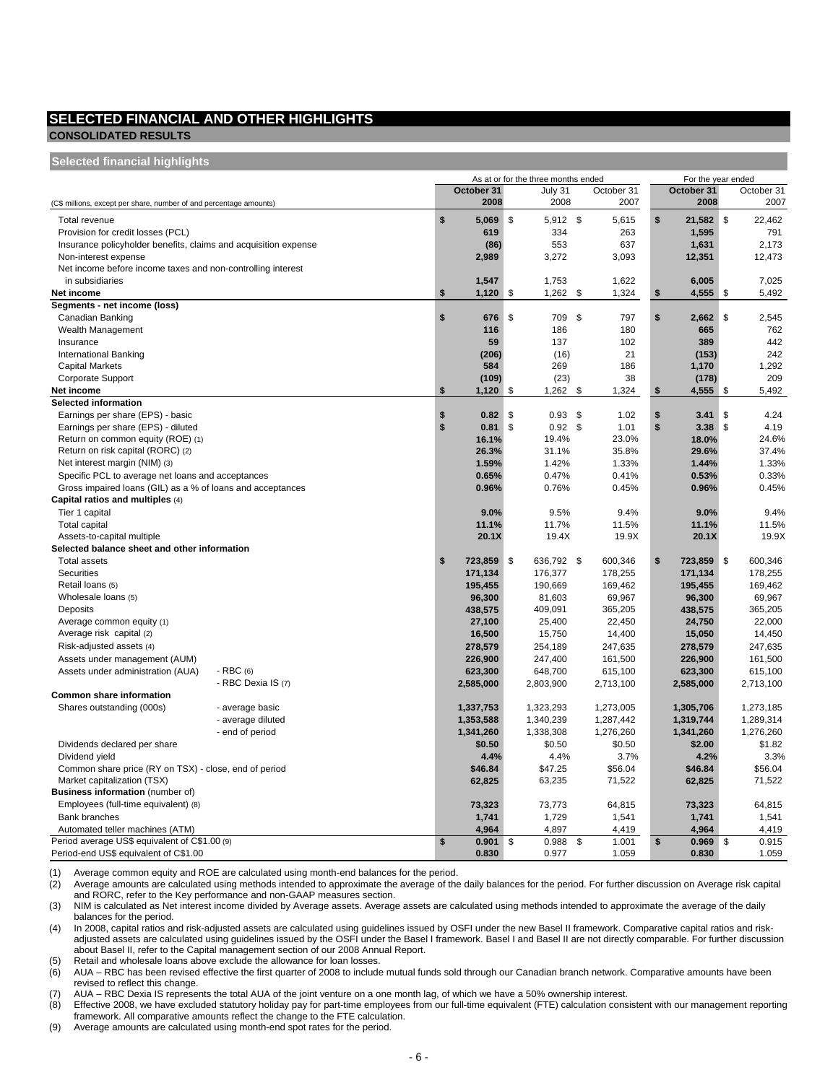### **SELECTED FINANCIAL AND OTHER HIGHLIGHTS**

### **CONSOLIDATED RESULTS Selected financial highlights**

| ociculcu illialiulai illyilliyillə                                               |                    |                  |    |                                     |             |                    |               |
|----------------------------------------------------------------------------------|--------------------|------------------|----|-------------------------------------|-------------|--------------------|---------------|
|                                                                                  |                    |                  |    | As at or for the three months ended |             | For the year ended |               |
|                                                                                  |                    | October 31       |    | July 31                             | October 31  | October 31         | October 31    |
| (C\$ millions, except per share, number of and percentage amounts)               |                    | 2008             |    | 2008                                | 2007        | 2008               | 2007          |
| Total revenue                                                                    |                    | \$<br>$5,069$ \$ |    | 5,912 \$                            | 5,615       | \$<br>21,582       | \$<br>22,462  |
| Provision for credit losses (PCL)                                                |                    | 619              |    | 334                                 | 263         | 1,595              | 791           |
| Insurance policyholder benefits, claims and acquisition expense                  |                    | (86)             |    | 553                                 | 637         | 1,631              | 2,173         |
| Non-interest expense                                                             |                    | 2,989            |    | 3,272                               | 3,093       | 12,351             | 12,473        |
| Net income before income taxes and non-controlling interest                      |                    |                  |    |                                     |             |                    |               |
| in subsidiaries                                                                  |                    | 1,547            |    | 1,753                               | 1,622       | 6,005              | 7,025         |
| Net income                                                                       |                    | \$<br>1,120      | \$ | 1,262                               | \$<br>1,324 | \$<br>4,555        | \$<br>5,492   |
| Segments - net income (loss)                                                     |                    |                  |    |                                     |             |                    |               |
| Canadian Banking                                                                 |                    | \$<br>676        | \$ | 709                                 | \$<br>797   | \$<br>2,662        | \$<br>2,545   |
| Wealth Management                                                                |                    | 116              |    | 186                                 | 180         | 665                | 762           |
| Insurance                                                                        |                    | 59               |    | 137                                 | 102         | 389                | 442           |
| <b>International Banking</b>                                                     |                    | (206)            |    | (16)                                | 21          | (153)              | 242           |
| <b>Capital Markets</b>                                                           |                    | 584              |    | 269                                 | 186         | 1,170              | 1,292         |
| Corporate Support                                                                |                    | (109)            |    | (23)                                | 38          | (178)              | 209           |
| Net income                                                                       |                    | \$<br>1,120      | \$ | 1,262                               | \$<br>1,324 | \$<br>4,555        | \$<br>5,492   |
| <b>Selected information</b>                                                      |                    |                  |    |                                     |             |                    |               |
| Earnings per share (EPS) - basic                                                 |                    | \$<br>0.82       | S  | $0.93$ \$                           | 1.02        | \$<br>3.41         | \$<br>4.24    |
| Earnings per share (EPS) - diluted                                               |                    | \$<br>0.81       | \$ | 0.92 <sup>5</sup>                   | 1.01        | \$<br>3.38         | \$<br>4.19    |
| Return on common equity (ROE) (1)                                                |                    | 16.1%            |    | 19.4%                               | 23.0%       | 18.0%              | 24.6%         |
| Return on risk capital (RORC) (2)                                                |                    | 26.3%            |    | 31.1%                               | 35.8%       | 29.6%              | 37.4%         |
| Net interest margin (NIM) (3)                                                    |                    | 1.59%            |    | 1.42%                               | 1.33%       | 1.44%              | 1.33%         |
| Specific PCL to average net loans and acceptances                                |                    | 0.65%            |    | 0.47%                               | 0.41%       | 0.53%              | 0.33%         |
| Gross impaired loans (GIL) as a % of loans and acceptances                       |                    | 0.96%            |    | 0.76%                               | 0.45%       | 0.96%              | 0.45%         |
| Capital ratios and multiples (4)                                                 |                    |                  |    |                                     |             |                    |               |
| Tier 1 capital                                                                   |                    | 9.0%             |    | 9.5%                                | 9.4%        | 9.0%               | 9.4%          |
| Total capital                                                                    |                    | 11.1%            |    | 11.7%                               | 11.5%       | 11.1%              | 11.5%         |
| Assets-to-capital multiple                                                       |                    | 20.1X            |    | 19.4X                               | 19.9X       | 20.1X              | 19.9X         |
| Selected balance sheet and other information                                     |                    |                  |    |                                     |             |                    |               |
| <b>Total assets</b>                                                              |                    | \$<br>723,859    | \$ | 636,792 \$                          | 600,346     | \$<br>723,859      | \$<br>600,346 |
| <b>Securities</b>                                                                |                    | 171,134          |    | 176,377                             | 178,255     | 171,134            | 178,255       |
| Retail loans (5)                                                                 |                    | 195,455          |    | 190,669                             | 169,462     | 195,455            | 169,462       |
| Wholesale loans (5)                                                              |                    | 96,300           |    | 81,603                              | 69,967      | 96,300             | 69,967        |
| Deposits                                                                         |                    | 438,575          |    | 409,091                             | 365,205     | 438,575            | 365,205       |
| Average common equity (1)                                                        |                    | 27,100           |    | 25,400                              | 22,450      | 24,750             | 22,000        |
| Average risk capital (2)                                                         |                    | 16,500           |    | 15,750                              | 14,400      | 15,050             | 14,450        |
| Risk-adjusted assets (4)                                                         |                    | 278,579          |    | 254,189                             | 247,635     | 278,579            | 247,635       |
| Assets under management (AUM)                                                    |                    | 226,900          |    | 247,400                             | 161,500     | 226,900            | 161,500       |
| Assets under administration (AUA)                                                | $-RBC(6)$          | 623,300          |    | 648,700                             | 615,100     | 623,300            | 615,100       |
|                                                                                  | - RBC Dexia IS (7) | 2,585,000        |    | 2,803,900                           | 2,713,100   | 2,585,000          | 2,713,100     |
| Common share information                                                         |                    |                  |    |                                     |             |                    |               |
| Shares outstanding (000s)                                                        | - average basic    | 1,337,753        |    | 1,323,293                           | 1,273,005   | 1,305,706          | 1,273,185     |
|                                                                                  | - average diluted  | 1,353,588        |    | 1,340,239                           | 1,287,442   | 1,319,744          | 1,289,314     |
|                                                                                  | - end of period    | 1,341,260        |    | 1,338,308                           | 1,276,260   | 1,341,260          | 1,276,260     |
| Dividends declared per share                                                     |                    | \$0.50           |    | \$0.50                              | \$0.50      | \$2.00             | \$1.82        |
| Dividend yield                                                                   |                    | 4.4%             |    | 4.4%                                | 3.7%        | 4.2%               | 3.3%          |
| Common share price (RY on TSX) - close, end of period                            |                    | \$46.84          |    | \$47.25                             | \$56.04     | \$46.84            | \$56.04       |
| Market capitalization (TSX)                                                      |                    | 62,825           |    | 63,235                              | 71,522      | 62,825             | 71,522        |
| Business information (number of)                                                 |                    |                  |    |                                     |             |                    |               |
| Employees (full-time equivalent) (8)                                             |                    | 73,323           |    | 73,773                              | 64,815      | 73,323             | 64,815        |
| <b>Bank branches</b>                                                             |                    | 1,741            |    | 1,729                               | 1,541       | 1,741              | 1,541         |
|                                                                                  |                    | 4,964            |    | 4,897                               | 4,419       | 4,964              | 4,419         |
| Automated teller machines (ATM)<br>Period average US\$ equivalent of C\$1.00 (9) |                    | \$<br>0.901      | \$ | 0.988                               | \$<br>1.001 | \$<br>0.969        | \$<br>0.915   |
| Period-end US\$ equivalent of C\$1.00                                            |                    | 0.830            |    | 0.977                               | 1.059       | 0.830              | 1.059         |
|                                                                                  |                    |                  |    |                                     |             |                    |               |

(1) Average common equity and ROE are calculated using month-end balances for the period. Average amounts are calculated using methods intended to approximate the average of the daily balances for the period. For further discussion on Average risk capital and RORC, refer to the Key performance and non-GAAP measures section.

(3) NIM is calculated as Net interest income divided by Average assets. Average assets are calculated using methods intended to approximate the average of the daily balances for the period.

(4) In 2008, capital ratios and risk-adjusted assets are calculated using guidelines issued by OSFI under the new Basel II framework. Comparative capital ratios and riskadjusted assets are calculated using guidelines issued by the OSFI under the Basel I framework. Basel I and Basel II are not directly comparable. For further discussion about Basel II, refer to the Capital management section of our 2008 Annual Report.

(5) Retail and wholesale loans above exclude the allowance for loan losses.

(6) AUA – RBC has been revised effective the first quarter of 2008 to include mutual funds sold through our Canadian branch network. Comparative amounts have been revised to reflect this change.

(7) AUA – RBC Dexia IS represents the total AUA of the joint venture on a one month lag, of which we have a 50% ownership interest.

(8) Effective 2008, we have excluded statutory holiday pay for part-time employees from our full-time equivalent (FTE) calculation consistent with our management reporting framework. All comparative amounts reflect the change to the FTE calculation.

(9) Average amounts are calculated using month-end spot rates for the period.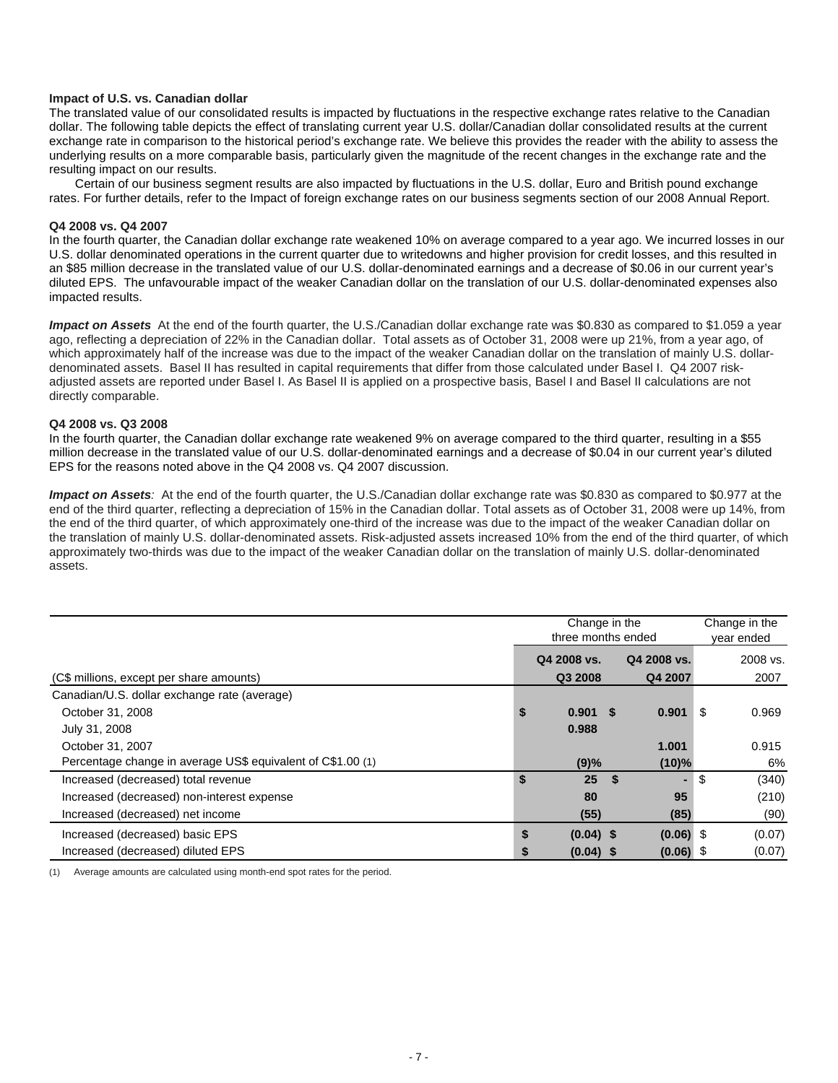### **Impact of U.S. vs. Canadian dollar**

The translated value of our consolidated results is impacted by fluctuations in the respective exchange rates relative to the Canadian dollar. The following table depicts the effect of translating current year U.S. dollar/Canadian dollar consolidated results at the current exchange rate in comparison to the historical period's exchange rate. We believe this provides the reader with the ability to assess the underlying results on a more comparable basis, particularly given the magnitude of the recent changes in the exchange rate and the resulting impact on our results.

Certain of our business segment results are also impacted by fluctuations in the U.S. dollar, Euro and British pound exchange rates. For further details, refer to the Impact of foreign exchange rates on our business segments section of our 2008 Annual Report.

#### **Q4 2008 vs. Q4 2007**

In the fourth quarter, the Canadian dollar exchange rate weakened 10% on average compared to a year ago. We incurred losses in our U.S. dollar denominated operations in the current quarter due to writedowns and higher provision for credit losses, and this resulted in an \$85 million decrease in the translated value of our U.S. dollar-denominated earnings and a decrease of \$0.06 in our current year's diluted EPS. The unfavourable impact of the weaker Canadian dollar on the translation of our U.S. dollar-denominated expenses also impacted results.

*Impact on Assets* At the end of the fourth quarter, the U.S./Canadian dollar exchange rate was \$0.830 as compared to \$1.059 a year ago, reflecting a depreciation of 22% in the Canadian dollar. Total assets as of October 31, 2008 were up 21%, from a year ago, of which approximately half of the increase was due to the impact of the weaker Canadian dollar on the translation of mainly U.S. dollardenominated assets. Basel II has resulted in capital requirements that differ from those calculated under Basel I. Q4 2007 riskadjusted assets are reported under Basel I. As Basel II is applied on a prospective basis, Basel I and Basel II calculations are not directly comparable.

#### **Q4 2008 vs. Q3 2008**

In the fourth quarter, the Canadian dollar exchange rate weakened 9% on average compared to the third quarter, resulting in a \$55 million decrease in the translated value of our U.S. dollar-denominated earnings and a decrease of \$0.04 in our current year's diluted EPS for the reasons noted above in the Q4 2008 vs. Q4 2007 discussion.

*Impact on Assets:* At the end of the fourth quarter, the U.S./Canadian dollar exchange rate was \$0.830 as compared to \$0.977 at the end of the third quarter, reflecting a depreciation of 15% in the Canadian dollar. Total assets as of October 31, 2008 were up 14%, from the end of the third quarter, of which approximately one-third of the increase was due to the impact of the weaker Canadian dollar on the translation of mainly U.S. dollar-denominated assets. Risk-adjusted assets increased 10% from the end of the third quarter, of which approximately two-thirds was due to the impact of the weaker Canadian dollar on the translation of mainly U.S. dollar-denominated assets.

|                                                             | Change in the      |             |    |             |    | Change in the |
|-------------------------------------------------------------|--------------------|-------------|----|-------------|----|---------------|
|                                                             | three months ended |             |    |             |    | year ended    |
|                                                             |                    | Q4 2008 vs. |    | Q4 2008 vs. |    | 2008 vs.      |
| (C\$ millions, except per share amounts)                    |                    | Q3 2008     |    | Q4 2007     |    | 2007          |
| Canadian/U.S. dollar exchange rate (average)                |                    |             |    |             |    |               |
| October 31, 2008                                            | \$                 | $0.901$ \$  |    | 0.901       | \$ | 0.969         |
| July 31, 2008                                               |                    | 0.988       |    |             |    |               |
| October 31, 2007                                            |                    |             |    | 1.001       |    | 0.915         |
| Percentage change in average US\$ equivalent of C\$1.00 (1) |                    | (9)%        |    | (10)%       |    | 6%            |
| Increased (decreased) total revenue                         | \$                 | 25          | -S |             | \$ | (340)         |
| Increased (decreased) non-interest expense                  |                    | 80          |    | 95          |    | (210)         |
| Increased (decreased) net income                            |                    | (55)        |    | (85)        |    | (90)          |
| Increased (decreased) basic EPS                             | \$                 | $(0.04)$ \$ |    | $(0.06)$ \$ |    | (0.07)        |
| Increased (decreased) diluted EPS                           | \$                 | $(0.04)$ \$ |    | $(0.06)$ \$ |    | (0.07)        |

Average amounts are calculated using month-end spot rates for the period.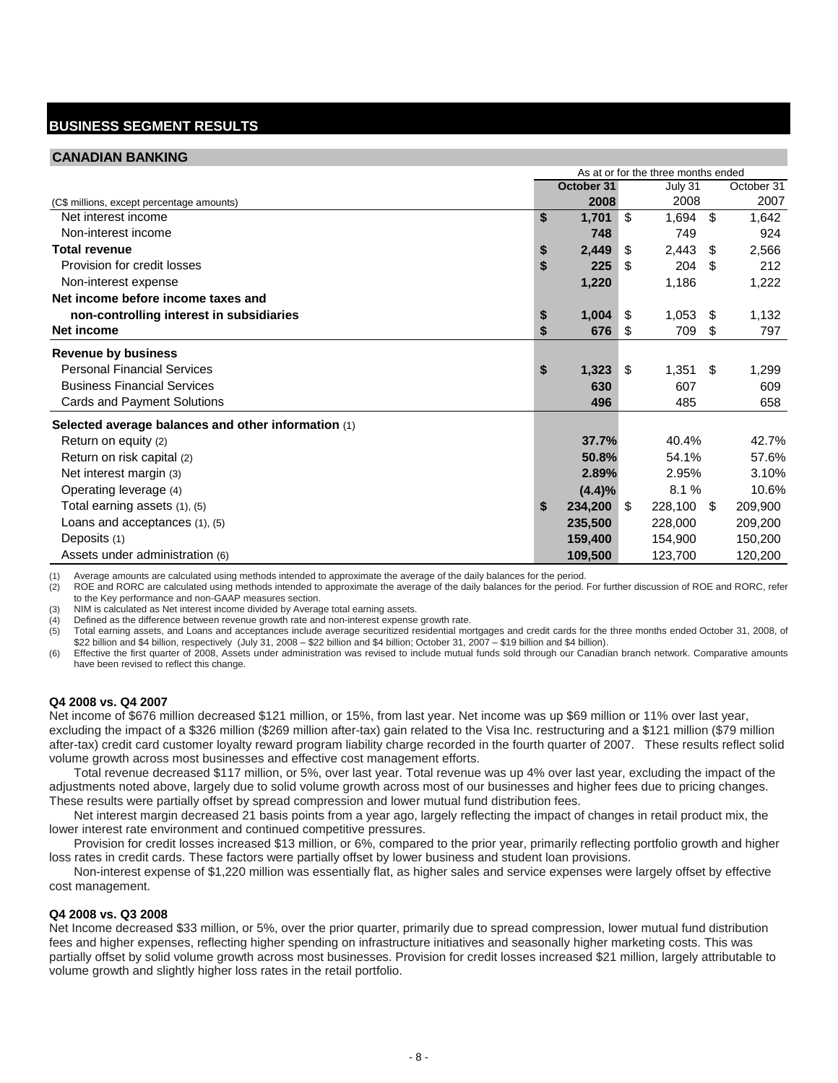# **BUSINESS SEGMENT RESULTS**

### **CANADIAN BANKING**

|                                                     | As at or for the three months ended |              |      |         |     |            |  |  |
|-----------------------------------------------------|-------------------------------------|--------------|------|---------|-----|------------|--|--|
|                                                     |                                     | October 31   |      | July 31 |     | October 31 |  |  |
| (C\$ millions, except percentage amounts)           |                                     | 2008         |      | 2008    |     | 2007       |  |  |
| Net interest income                                 | \$                                  | 1,701        | -\$  | 1,694   | \$  | 1,642      |  |  |
| Non-interest income                                 |                                     | 748          |      | 749     |     | 924        |  |  |
| <b>Total revenue</b>                                | \$                                  | 2,449        | \$   | 2,443   | \$  | 2,566      |  |  |
| Provision for credit losses                         | \$                                  | 225          | \$   | 204     | \$  | 212        |  |  |
| Non-interest expense                                |                                     | 1,220        |      | 1,186   |     | 1,222      |  |  |
| Net income before income taxes and                  |                                     |              |      |         |     |            |  |  |
| non-controlling interest in subsidiaries            | \$                                  | 1,004        | - \$ | 1,053   | \$  | 1,132      |  |  |
| Net income                                          | \$                                  | 676          | -\$  | 709     | \$  | 797        |  |  |
| <b>Revenue by business</b>                          |                                     |              |      |         |     |            |  |  |
| <b>Personal Financial Services</b>                  | \$                                  | 1,323        | -\$  | 1,351   | \$  | 1,299      |  |  |
| <b>Business Financial Services</b>                  |                                     | 630          |      | 607     |     | 609        |  |  |
| Cards and Payment Solutions                         |                                     | 496          |      | 485     |     | 658        |  |  |
| Selected average balances and other information (1) |                                     |              |      |         |     |            |  |  |
| Return on equity (2)                                |                                     | 37.7%        |      | 40.4%   |     | 42.7%      |  |  |
| Return on risk capital (2)                          |                                     | 50.8%        |      | 54.1%   |     | 57.6%      |  |  |
| Net interest margin (3)                             |                                     | 2.89%        |      | 2.95%   |     | 3.10%      |  |  |
| Operating leverage (4)                              |                                     | (4.4)%       |      | 8.1%    |     | 10.6%      |  |  |
| Total earning assets (1), (5)                       | \$                                  | $234,200$ \$ |      | 228,100 | -\$ | 209,900    |  |  |
| Loans and acceptances (1), (5)                      |                                     | 235,500      |      | 228,000 |     | 209,200    |  |  |
| Deposits (1)                                        |                                     | 159,400      |      | 154,900 |     | 150,200    |  |  |
| Assets under administration (6)                     |                                     | 109,500      |      | 123,700 |     | 120,200    |  |  |

(1) Average amounts are calculated using methods intended to approximate the average of the daily balances for the period.

(2) ROE and RORC are calculated using methods intended to approximate the average of the daily balances for the period. For further discussion of ROE and RORC, refer to the Key performance and non-GAAP measures section.

(3) NIM is calculated as Net interest income divided by Average total earning assets.

(4) Defined as the difference between revenue growth rate and non-interest expense growth rate.

(5) Total earning assets, and Loans and acceptances include average securitized residential mortgages and credit cards for the three months ended October 31, 2008, of \$22 billion and \$4 billion, respectively (July 31, 2008 – \$22 billion and \$4 billion; October 31, 2007 – \$19 billion and \$4 billion).

(6) Effective the first quarter of 2008, Assets under administration was revised to include mutual funds sold through our Canadian branch network. Comparative amounts have been revised to reflect this change.

### **Q4 2008 vs. Q4 2007**

Net income of \$676 million decreased \$121 million, or 15%, from last year. Net income was up \$69 million or 11% over last year, excluding the impact of a \$326 million (\$269 million after-tax) gain related to the Visa Inc. restructuring and a \$121 million (\$79 million after-tax) credit card customer loyalty reward program liability charge recorded in the fourth quarter of 2007. These results reflect solid volume growth across most businesses and effective cost management efforts.

Total revenue decreased \$117 million, or 5%, over last year. Total revenue was up 4% over last year, excluding the impact of the adjustments noted above, largely due to solid volume growth across most of our businesses and higher fees due to pricing changes. These results were partially offset by spread compression and lower mutual fund distribution fees.

Net interest margin decreased 21 basis points from a year ago, largely reflecting the impact of changes in retail product mix, the lower interest rate environment and continued competitive pressures.

Provision for credit losses increased \$13 million, or 6%, compared to the prior year, primarily reflecting portfolio growth and higher loss rates in credit cards. These factors were partially offset by lower business and student loan provisions.

Non-interest expense of \$1,220 million was essentially flat, as higher sales and service expenses were largely offset by effective cost management.

#### **Q4 2008 vs. Q3 2008**

Net Income decreased \$33 million, or 5%, over the prior quarter, primarily due to spread compression, lower mutual fund distribution fees and higher expenses, reflecting higher spending on infrastructure initiatives and seasonally higher marketing costs. This was partially offset by solid volume growth across most businesses. Provision for credit losses increased \$21 million, largely attributable to volume growth and slightly higher loss rates in the retail portfolio.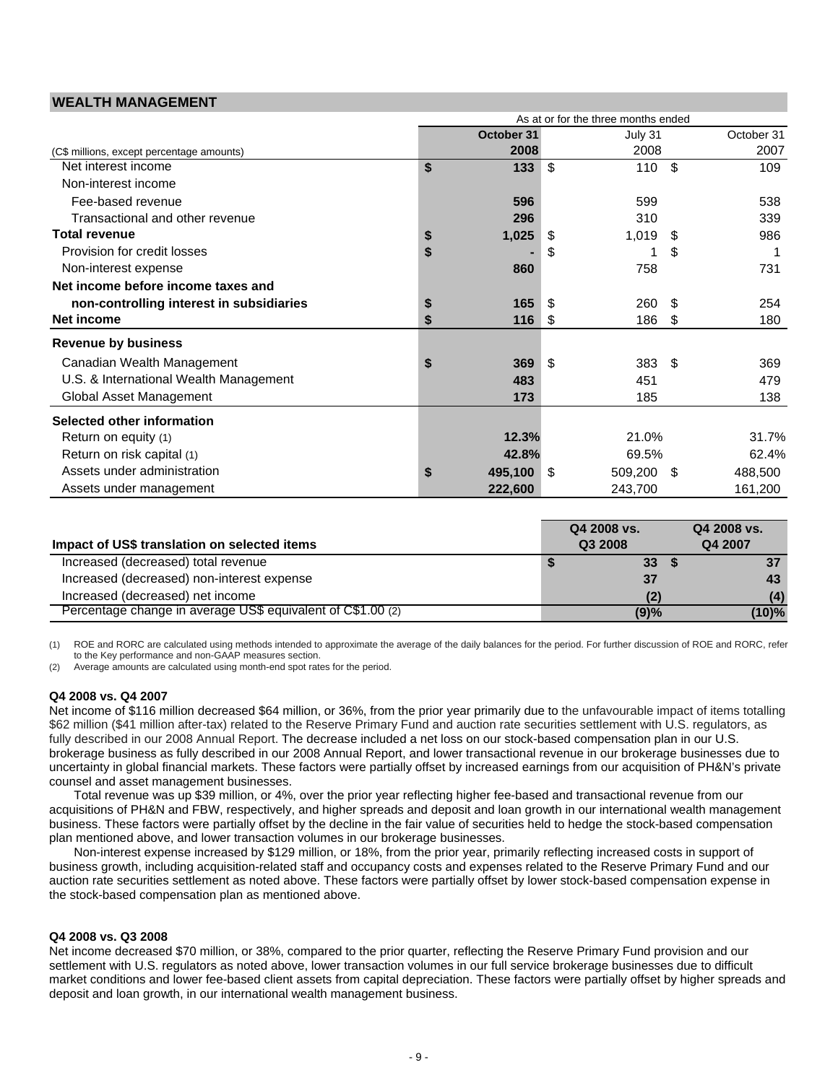### **WEALTH MANAGEMENT**

|                                           | As at or for the three months ended |            |      |         |      |            |  |  |
|-------------------------------------------|-------------------------------------|------------|------|---------|------|------------|--|--|
|                                           |                                     | October 31 |      | July 31 |      | October 31 |  |  |
| (C\$ millions, except percentage amounts) |                                     | 2008       |      | 2008    |      | 2007       |  |  |
| Net interest income                       | \$                                  | 133        | \$   | 110     | \$   | 109        |  |  |
| Non-interest income                       |                                     |            |      |         |      |            |  |  |
| Fee-based revenue                         |                                     | 596        |      | 599     |      | 538        |  |  |
| Transactional and other revenue           |                                     | 296        |      | 310     |      | 339        |  |  |
| <b>Total revenue</b>                      | \$                                  | 1,025      | S    | 1,019   | S    | 986        |  |  |
| Provision for credit losses               | \$                                  |            | S    |         | S    |            |  |  |
| Non-interest expense                      |                                     | 860        |      | 758     |      | 731        |  |  |
| Net income before income taxes and        |                                     |            |      |         |      |            |  |  |
| non-controlling interest in subsidiaries  | \$                                  | 165        | \$   | 260     | \$   | 254        |  |  |
| Net income                                | \$                                  | 116        | \$   | 186     | \$   | 180        |  |  |
| <b>Revenue by business</b>                |                                     |            |      |         |      |            |  |  |
| Canadian Wealth Management                | \$                                  | 369        | \$   | 383     | \$   | 369        |  |  |
| U.S. & International Wealth Management    |                                     | 483        |      | 451     |      | 479        |  |  |
| Global Asset Management                   |                                     | 173        |      | 185     |      | 138        |  |  |
| Selected other information                |                                     |            |      |         |      |            |  |  |
| Return on equity (1)                      |                                     | 12.3%      |      | 21.0%   |      | 31.7%      |  |  |
| Return on risk capital (1)                |                                     | 42.8%      |      | 69.5%   |      | 62.4%      |  |  |
| Assets under administration               | \$                                  | 495,100    | - \$ | 509,200 | - \$ | 488,500    |  |  |
| Assets under management                   |                                     | 222,600    |      | 243,700 |      | 161,200    |  |  |

| Impact of US\$ translation on selected items                | Q4 2008 vs.<br>Q3 2008 |                 | Q4 2008 vs.<br>Q4 2007 |
|-------------------------------------------------------------|------------------------|-----------------|------------------------|
| Increased (decreased) total revenue                         |                        | 33 <sup>2</sup> | 37                     |
| Increased (decreased) non-interest expense                  |                        | 37              | 43                     |
| Increased (decreased) net income                            |                        |                 | (4)                    |
| Percentage change in average US\$ equivalent of C\$1.00 (2) |                        | (9)%            | (10)%                  |

(1) ROE and RORC are calculated using methods intended to approximate the average of the daily balances for the period. For further discussion of ROE and RORC, refer to the Key performance and non-GAAP measures section.

(2) Average amounts are calculated using month-end spot rates for the period.

#### **Q4 2008 vs. Q4 2007**

Net income of \$116 million decreased \$64 million, or 36%, from the prior year primarily due to the unfavourable impact of items totalling \$62 million (\$41 million after-tax) related to the Reserve Primary Fund and auction rate securities settlement with U.S. regulators, as fully described in our 2008 Annual Report. The decrease included a net loss on our stock-based compensation plan in our U.S. brokerage business as fully described in our 2008 Annual Report, and lower transactional revenue in our brokerage businesses due to uncertainty in global financial markets. These factors were partially offset by increased earnings from our acquisition of PH&N's private counsel and asset management businesses.

Total revenue was up \$39 million, or 4%, over the prior year reflecting higher fee-based and transactional revenue from our acquisitions of PH&N and FBW, respectively, and higher spreads and deposit and loan growth in our international wealth management business. These factors were partially offset by the decline in the fair value of securities held to hedge the stock-based compensation plan mentioned above, and lower transaction volumes in our brokerage businesses.

Non-interest expense increased by \$129 million, or 18%, from the prior year, primarily reflecting increased costs in support of business growth, including acquisition-related staff and occupancy costs and expenses related to the Reserve Primary Fund and our auction rate securities settlement as noted above. These factors were partially offset by lower stock-based compensation expense in the stock-based compensation plan as mentioned above.

#### **Q4 2008 vs. Q3 2008**

Net income decreased \$70 million, or 38%, compared to the prior quarter, reflecting the Reserve Primary Fund provision and our settlement with U.S. regulators as noted above, lower transaction volumes in our full service brokerage businesses due to difficult market conditions and lower fee-based client assets from capital depreciation. These factors were partially offset by higher spreads and deposit and loan growth, in our international wealth management business.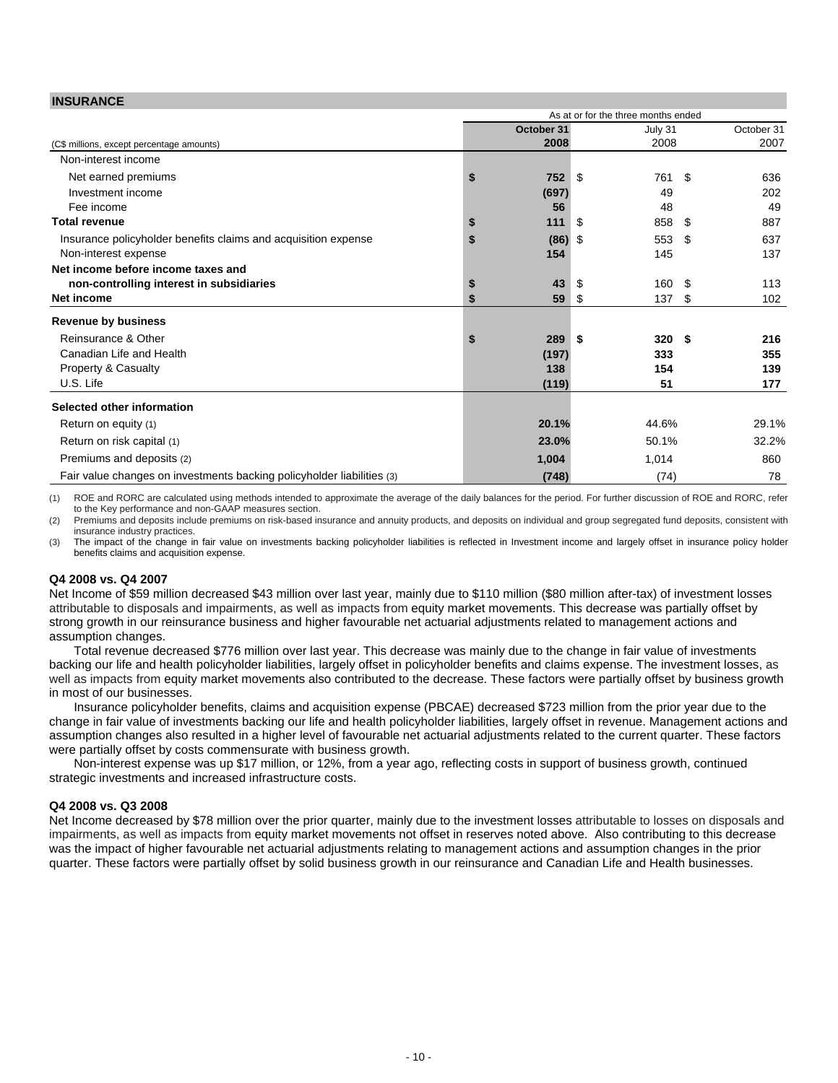### **INSURANCE**

| 1110011A110 <b>L</b>                                                   |    |            |      | As at or for the three months ended |      |            |
|------------------------------------------------------------------------|----|------------|------|-------------------------------------|------|------------|
|                                                                        |    |            |      |                                     |      |            |
|                                                                        |    | October 31 |      | July 31                             |      | October 31 |
| (C\$ millions, except percentage amounts)                              |    | 2008       |      | 2008                                |      | 2007       |
| Non-interest income                                                    |    |            |      |                                     |      |            |
| Net earned premiums                                                    | \$ | 752        | - \$ | 761                                 | \$   | 636        |
| Investment income                                                      |    | (697)      |      | 49                                  |      | 202        |
| Fee income                                                             |    | 56         |      | 48                                  |      | 49         |
| <b>Total revenue</b>                                                   | \$ | 111        | - 5  | 858                                 | -S   | 887        |
| Insurance policyholder benefits claims and acquisition expense         | S  | $(86)$ \$  |      | 553                                 | \$   | 637        |
| Non-interest expense                                                   |    | 154        |      | 145                                 |      | 137        |
| Net income before income taxes and                                     |    |            |      |                                     |      |            |
| non-controlling interest in subsidiaries                               | \$ | 43         | - \$ | 160                                 | - \$ | 113        |
| <b>Net income</b>                                                      | S  | 59         | -\$  | 137                                 | -S   | 102        |
| <b>Revenue by business</b>                                             |    |            |      |                                     |      |            |
| Reinsurance & Other                                                    | S  | 289        | - \$ | 320S                                |      | 216        |
| Canadian Life and Health                                               |    | (197)      |      | 333                                 |      | 355        |
| <b>Property &amp; Casualty</b>                                         |    | 138        |      | 154                                 |      | 139        |
| U.S. Life                                                              |    | (119)      |      | 51                                  |      | 177        |
| Selected other information                                             |    |            |      |                                     |      |            |
| Return on equity (1)                                                   |    | 20.1%      |      | 44.6%                               |      | 29.1%      |
| Return on risk capital (1)                                             |    | 23.0%      |      | 50.1%                               |      | 32.2%      |
| Premiums and deposits (2)                                              |    | 1,004      |      | 1,014                               |      | 860        |
| Fair value changes on investments backing policyholder liabilities (3) |    | (748)      |      | (74)                                |      | 78         |

(1) ROE and RORC are calculated using methods intended to approximate the average of the daily balances for the period. For further discussion of ROE and RORC, refer to the Key performance and non-GAAP measures section.

(2) Premiums and deposits include premiums on risk-based insurance and annuity products, and deposits on individual and group segregated fund deposits, consistent with insurance industry practices.

(3) The impact of the change in fair value on investments backing policyholder liabilities is reflected in Investment income and largely offset in insurance policy holder benefits claims and acquisition expense.

#### **Q4 2008 vs. Q4 2007**

Net Income of \$59 million decreased \$43 million over last year, mainly due to \$110 million (\$80 million after-tax) of investment losses attributable to disposals and impairments, as well as impacts from equity market movements. This decrease was partially offset by strong growth in our reinsurance business and higher favourable net actuarial adjustments related to management actions and assumption changes.

Total revenue decreased \$776 million over last year. This decrease was mainly due to the change in fair value of investments backing our life and health policyholder liabilities, largely offset in policyholder benefits and claims expense. The investment losses, as well as impacts from equity market movements also contributed to the decrease. These factors were partially offset by business growth in most of our businesses.

Insurance policyholder benefits, claims and acquisition expense (PBCAE) decreased \$723 million from the prior year due to the change in fair value of investments backing our life and health policyholder liabilities, largely offset in revenue. Management actions and assumption changes also resulted in a higher level of favourable net actuarial adjustments related to the current quarter. These factors were partially offset by costs commensurate with business growth.

Non-interest expense was up \$17 million, or 12%, from a year ago, reflecting costs in support of business growth, continued strategic investments and increased infrastructure costs.

#### **Q4 2008 vs. Q3 2008**

Net Income decreased by \$78 million over the prior quarter, mainly due to the investment losses attributable to losses on disposals and impairments, as well as impacts from equity market movements not offset in reserves noted above. Also contributing to this decrease was the impact of higher favourable net actuarial adjustments relating to management actions and assumption changes in the prior quarter. These factors were partially offset by solid business growth in our reinsurance and Canadian Life and Health businesses.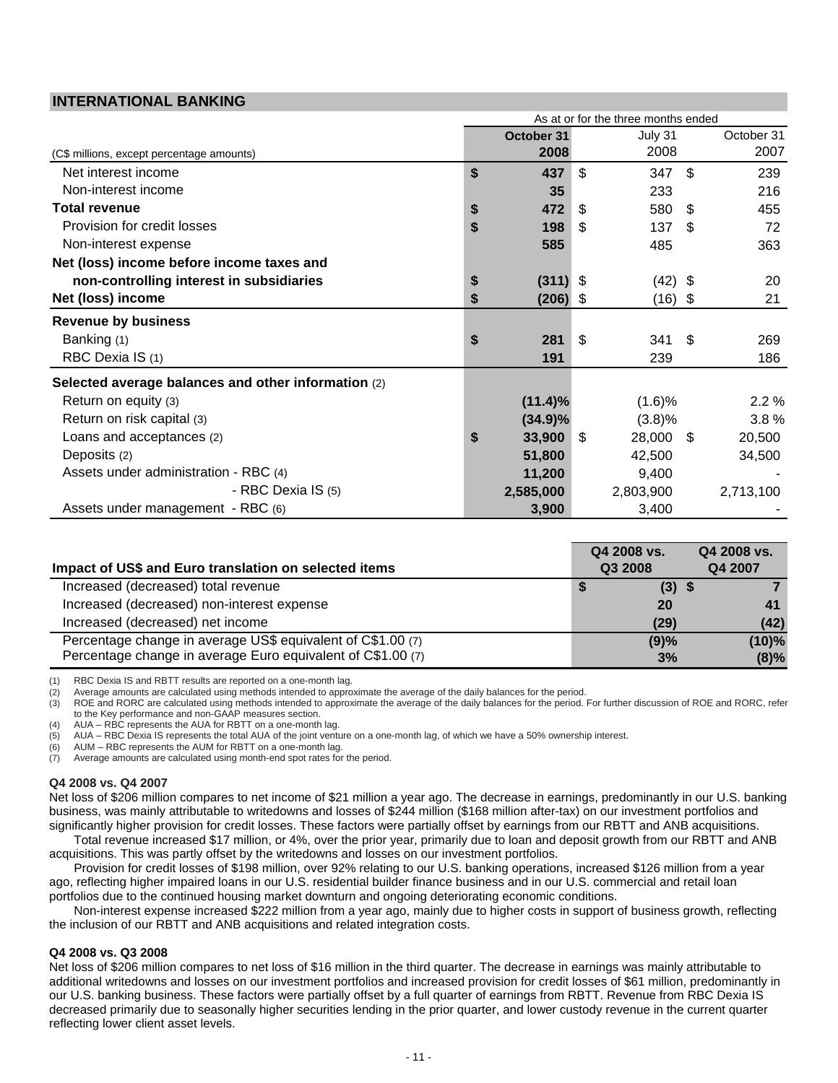### **INTERNATIONAL BANKING**

|                                                     | As at or for the three months ended |            |    |           |      |            |  |
|-----------------------------------------------------|-------------------------------------|------------|----|-----------|------|------------|--|
|                                                     |                                     | October 31 |    | July 31   |      | October 31 |  |
| (C\$ millions, except percentage amounts)           |                                     | 2008       |    | 2008      |      | 2007       |  |
| Net interest income                                 | \$                                  | 437        | \$ | 347       | \$   | 239        |  |
| Non-interest income                                 |                                     | 35         |    | 233       |      | 216        |  |
| <b>Total revenue</b>                                | \$                                  | 472        | \$ | 580       | \$   | 455        |  |
| Provision for credit losses                         | \$                                  | 198        | \$ | 137       | \$   | 72         |  |
| Non-interest expense                                |                                     | 585        |    | 485       |      | 363        |  |
| Net (loss) income before income taxes and           |                                     |            |    |           |      |            |  |
| non-controlling interest in subsidiaries            | \$                                  | $(311)$ \$ |    | $(42)$ \$ |      | 20         |  |
| Net (loss) income                                   | \$                                  | $(206)$ \$ |    | $(16)$ \$ |      | 21         |  |
| <b>Revenue by business</b>                          |                                     |            |    |           |      |            |  |
| Banking (1)                                         | \$                                  | 281        | \$ | 341       | \$   | 269        |  |
| RBC Dexia IS (1)                                    |                                     | 191        |    | 239       |      | 186        |  |
| Selected average balances and other information (2) |                                     |            |    |           |      |            |  |
| Return on equity (3)                                |                                     | $(11.4)\%$ |    | (1.6)%    |      | 2.2%       |  |
| Return on risk capital (3)                          |                                     | $(34.9)\%$ |    | (3.8)%    |      | 3.8%       |  |
| Loans and acceptances (2)                           | \$                                  | 33,900     | \$ | 28,000    | - \$ | 20,500     |  |
| Deposits (2)                                        |                                     | 51,800     |    | 42,500    |      | 34,500     |  |
| Assets under administration - RBC (4)               |                                     | 11,200     |    | 9,400     |      |            |  |
| - RBC Dexia IS (5)                                  |                                     | 2,585,000  |    | 2,803,900 |      | 2,713,100  |  |
| Assets under management - RBC (6)                   |                                     | 3,900      |    | 3,400     |      |            |  |

|                                                             | Q4 2008 vs. | Q4 2008 vs. |
|-------------------------------------------------------------|-------------|-------------|
| Impact of US\$ and Euro translation on selected items       | Q3 2008     | Q4 2007     |
| Increased (decreased) total revenue                         | $(3)$ \$    |             |
| Increased (decreased) non-interest expense                  | 20          |             |
| Increased (decreased) net income                            | (29)        | (42)        |
| Percentage change in average US\$ equivalent of C\$1.00 (7) | (9)%        | $(10)\%$    |
| Percentage change in average Euro equivalent of C\$1.00 (7) | 3%          | $(8)\%$     |

(1) RBC Dexia IS and RBTT results are reported on a one-month lag.

(2) Average amounts are calculated using methods intended to approximate the average of the daily balances for the period.

(3) ROE and RORC are calculated using methods intended to approximate the average of the daily balances for the period. For further discussion of ROE and RORC, refer to the Key performance and non-GAAP measures section.

(4) AUA – RBC represents the AUA for RBTT on a one-month lag.

(5) AUA – RBC Dexia IS represents the total AUA of the joint venture on a one-month lag, of which we have a 50% ownership interest.

(6) AUM – RBC represents the AUM for RBTT on a one-month lag.<br>(7) Average amounts are calculated using month-end spot rates for

Average amounts are calculated using month-end spot rates for the period.

### **Q4 2008 vs. Q4 2007**

Net loss of \$206 million compares to net income of \$21 million a year ago. The decrease in earnings, predominantly in our U.S. banking business, was mainly attributable to writedowns and losses of \$244 million (\$168 million after-tax) on our investment portfolios and significantly higher provision for credit losses. These factors were partially offset by earnings from our RBTT and ANB acquisitions.

Total revenue increased \$17 million, or 4%, over the prior year, primarily due to loan and deposit growth from our RBTT and ANB acquisitions. This was partly offset by the writedowns and losses on our investment portfolios.

Provision for credit losses of \$198 million, over 92% relating to our U.S. banking operations, increased \$126 million from a year ago, reflecting higher impaired loans in our U.S. residential builder finance business and in our U.S. commercial and retail loan portfolios due to the continued housing market downturn and ongoing deteriorating economic conditions.

Non-interest expense increased \$222 million from a year ago, mainly due to higher costs in support of business growth, reflecting the inclusion of our RBTT and ANB acquisitions and related integration costs.

#### **Q4 2008 vs. Q3 2008**

Net loss of \$206 million compares to net loss of \$16 million in the third quarter. The decrease in earnings was mainly attributable to additional writedowns and losses on our investment portfolios and increased provision for credit losses of \$61 million, predominantly in our U.S. banking business. These factors were partially offset by a full quarter of earnings from RBTT. Revenue from RBC Dexia IS decreased primarily due to seasonally higher securities lending in the prior quarter, and lower custody revenue in the current quarter reflecting lower client asset levels.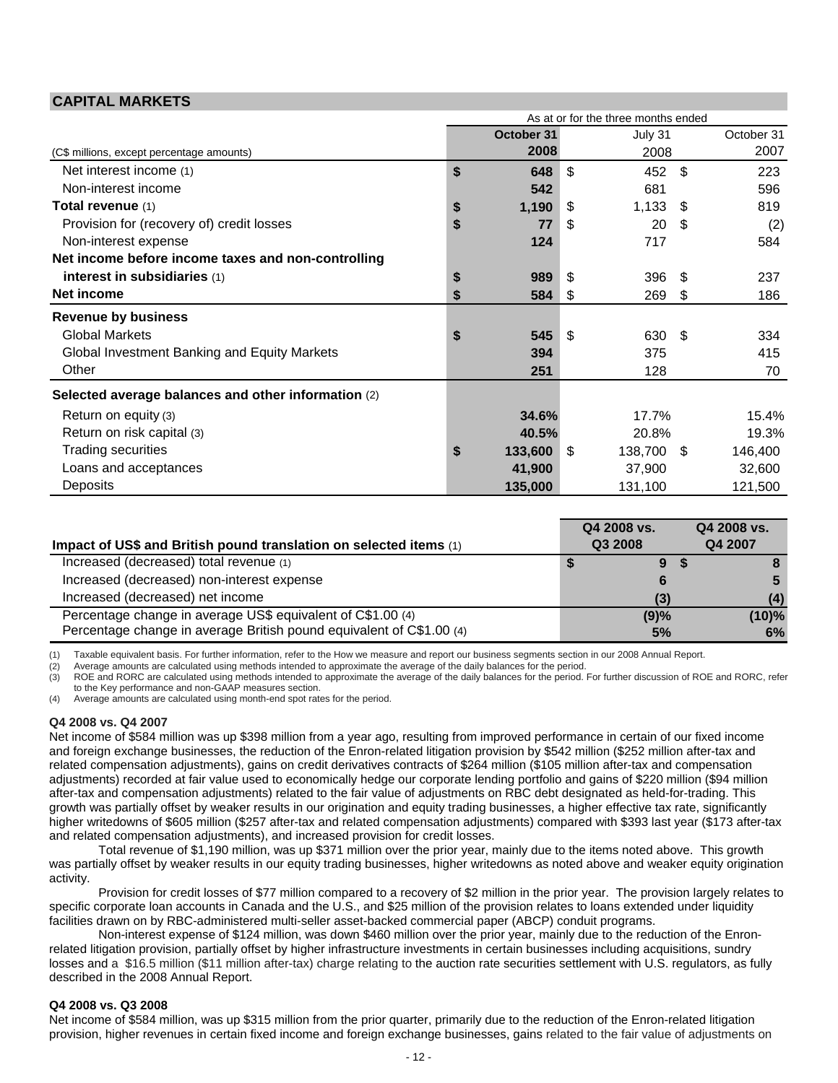### **CAPITAL MARKETS**

|                                                     | As at or for the three months ended |              |            |            |     |         |  |  |
|-----------------------------------------------------|-------------------------------------|--------------|------------|------------|-----|---------|--|--|
|                                                     |                                     | October 31   | October 31 |            |     |         |  |  |
| (C\$ millions, except percentage amounts)           |                                     | 2008         |            | 2008       |     | 2007    |  |  |
| Net interest income (1)                             | \$                                  | 648          | \$         | 452        | -\$ | 223     |  |  |
| Non-interest income                                 |                                     | 542          |            | 681        |     | 596     |  |  |
| Total revenue (1)                                   | \$                                  | 1,190        | -\$        | 1,133      | -S  | 819     |  |  |
| Provision for (recovery of) credit losses           | \$                                  | 77           | \$         | 20         | -\$ | (2)     |  |  |
| Non-interest expense                                |                                     | 124          |            | 717        |     | 584     |  |  |
| Net income before income taxes and non-controlling  |                                     |              |            |            |     |         |  |  |
| interest in subsidiaries (1)                        | \$                                  | 989          | - \$       | 396        | \$  | 237     |  |  |
| Net income                                          | \$                                  | 584          | \$         | 269        | \$  | 186     |  |  |
| <b>Revenue by business</b>                          |                                     |              |            |            |     |         |  |  |
| <b>Global Markets</b>                               | \$                                  | 545          | - \$       | 630        | -S  | 334     |  |  |
| Global Investment Banking and Equity Markets        |                                     | 394          |            | 375        |     | 415     |  |  |
| Other                                               |                                     | 251          |            | 128        |     | 70      |  |  |
| Selected average balances and other information (2) |                                     |              |            |            |     |         |  |  |
| Return on equity (3)                                |                                     | 34.6%        |            | 17.7%      |     | 15.4%   |  |  |
| Return on risk capital (3)                          |                                     | 40.5%        |            | 20.8%      |     | 19.3%   |  |  |
| <b>Trading securities</b>                           | \$                                  | $133,600$ \$ |            | 138,700 \$ |     | 146,400 |  |  |
| Loans and acceptances                               |                                     | 41,900       |            | 37,900     |     | 32,600  |  |  |
| Deposits                                            |                                     | 135,000      |            | 131,100    |     | 121,500 |  |  |

| Impact of US\$ and British pound translation on selected items (1)   | Q4 2008 vs.<br>Q3 2008 | Q4 2008 vs.<br>Q4 2007 |
|----------------------------------------------------------------------|------------------------|------------------------|
| Increased (decreased) total revenue (1)                              | 9                      |                        |
| Increased (decreased) non-interest expense                           |                        |                        |
| Increased (decreased) net income                                     | (3)                    | (4)                    |
| Percentage change in average US\$ equivalent of C\$1.00 (4)          | (9)%                   | $(10)\%$               |
| Percentage change in average British pound equivalent of C\$1.00 (4) | 5%                     | 6%                     |

(1) Taxable equivalent basis. For further information, refer to the How we measure and report our business segments section in our 2008 Annual Report.

(2) Average amounts are calculated using methods intended to approximate the average of the daily balances for the period.

(3) ROE and RORC are calculated using methods intended to approximate the average of the daily balances for the period. For further discussion of ROE and RORC, refer to the Key performance and non-GAAP measures section.

(4) Average amounts are calculated using month-end spot rates for the period.

### **Q4 2008 vs. Q4 2007**

Net income of \$584 million was up \$398 million from a year ago, resulting from improved performance in certain of our fixed income and foreign exchange businesses, the reduction of the Enron-related litigation provision by \$542 million (\$252 million after-tax and related compensation adjustments), gains on credit derivatives contracts of \$264 million (\$105 million after-tax and compensation adjustments) recorded at fair value used to economically hedge our corporate lending portfolio and gains of \$220 million (\$94 million after-tax and compensation adjustments) related to the fair value of adjustments on RBC debt designated as held-for-trading. This growth was partially offset by weaker results in our origination and equity trading businesses, a higher effective tax rate, significantly higher writedowns of \$605 million (\$257 after-tax and related compensation adjustments) compared with \$393 last year (\$173 after-tax and related compensation adjustments), and increased provision for credit losses.

 Total revenue of \$1,190 million, was up \$371 million over the prior year, mainly due to the items noted above. This growth was partially offset by weaker results in our equity trading businesses, higher writedowns as noted above and weaker equity origination activity.

 Provision for credit losses of \$77 million compared to a recovery of \$2 million in the prior year. The provision largely relates to specific corporate loan accounts in Canada and the U.S., and \$25 million of the provision relates to loans extended under liquidity facilities drawn on by RBC-administered multi-seller asset-backed commercial paper (ABCP) conduit programs.

 Non-interest expense of \$124 million, was down \$460 million over the prior year, mainly due to the reduction of the Enronrelated litigation provision, partially offset by higher infrastructure investments in certain businesses including acquisitions, sundry losses and a \$16.5 million (\$11 million after-tax) charge relating to the auction rate securities settlement with U.S. regulators, as fully described in the 2008 Annual Report.

#### **Q4 2008 vs. Q3 2008**

Net income of \$584 million, was up \$315 million from the prior quarter, primarily due to the reduction of the Enron-related litigation provision, higher revenues in certain fixed income and foreign exchange businesses, gains related to the fair value of adjustments on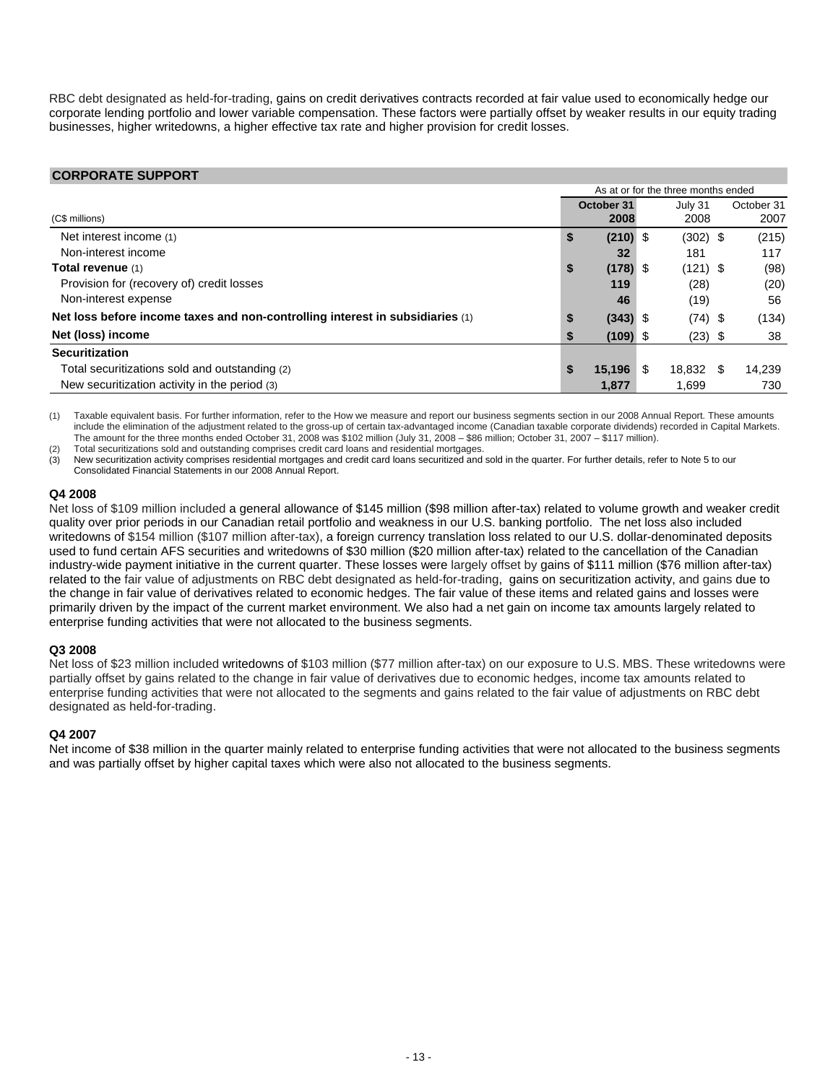RBC debt designated as held-for-trading, gains on credit derivatives contracts recorded at fair value used to economically hedge our corporate lending portfolio and lower variable compensation. These factors were partially offset by weaker results in our equity trading businesses, higher writedowns, a higher effective tax rate and higher provision for credit losses.

### **CORPORATE SUPPORT**

|                                                                               |    |            |     | As at or for the three months ended |     |            |
|-------------------------------------------------------------------------------|----|------------|-----|-------------------------------------|-----|------------|
|                                                                               |    | October 31 |     | July 31                             |     | October 31 |
| (C\$ millions)                                                                |    | 2008       |     | 2008                                |     | 2007       |
| Net interest income (1)                                                       | \$ | $(210)$ \$ |     | $(302)$ \$                          |     | (215)      |
| Non-interest income                                                           |    | 32         |     | 181                                 |     | 117        |
| Total revenue (1)                                                             | \$ | $(178)$ \$ |     | $(121)$ \$                          |     | (98)       |
| Provision for (recovery of) credit losses                                     |    | 119        |     | (28)                                |     | (20)       |
| Non-interest expense                                                          |    | 46         |     | (19)                                |     | 56         |
| Net loss before income taxes and non-controlling interest in subsidiaries (1) | S  | $(343)$ \$ |     | $(74)$ \$                           |     | (134)      |
| Net (loss) income                                                             | S  | $(109)$ \$ |     | $(23)$ \$                           |     | 38         |
| <b>Securitization</b>                                                         |    |            |     |                                     |     |            |
| Total securitizations sold and outstanding (2)                                | S  | 15.196     | \$. | 18.832                              | \$. | 14.239     |
| New securitization activity in the period (3)                                 |    | 1,877      |     | 1,699                               |     | 730        |

(1) Taxable equivalent basis. For further information, refer to the How we measure and report our business segments section in our 2008 Annual Report. These amounts include the elimination of the adjustment related to the gross-up of certain tax-advantaged income (Canadian taxable corporate dividends) recorded in Capital Markets. The amount for the three months ended October 31, 2008 was \$102 million (July 31, 2008 – \$86 million; October 31, 2007 – \$117 million).

(2) Total securitizations sold and outstanding comprises credit card loans and residential mortgages.

(3) New securitization activity comprises residential mortgages and credit card loans securitized and sold in the quarter. For further details, refer to Note 5 to our Consolidated Financial Statements in our 2008 Annual Report.

### **Q4 2008**

Net loss of \$109 million included a general allowance of \$145 million (\$98 million after-tax) related to volume growth and weaker credit quality over prior periods in our Canadian retail portfolio and weakness in our U.S. banking portfolio. The net loss also included writedowns of \$154 million (\$107 million after-tax), a foreign currency translation loss related to our U.S. dollar-denominated deposits used to fund certain AFS securities and writedowns of \$30 million (\$20 million after-tax) related to the cancellation of the Canadian industry-wide payment initiative in the current quarter. These losses were largely offset by gains of \$111 million (\$76 million after-tax) related to the fair value of adjustments on RBC debt designated as held-for-trading, gains on securitization activity, and gains due to the change in fair value of derivatives related to economic hedges. The fair value of these items and related gains and losses were primarily driven by the impact of the current market environment. We also had a net gain on income tax amounts largely related to enterprise funding activities that were not allocated to the business segments.

### **Q3 2008**

Net loss of \$23 million included writedowns of \$103 million (\$77 million after-tax) on our exposure to U.S. MBS. These writedowns were partially offset by gains related to the change in fair value of derivatives due to economic hedges, income tax amounts related to enterprise funding activities that were not allocated to the segments and gains related to the fair value of adjustments on RBC debt designated as held-for-trading.

### **Q4 2007**

Net income of \$38 million in the quarter mainly related to enterprise funding activities that were not allocated to the business segments and was partially offset by higher capital taxes which were also not allocated to the business segments.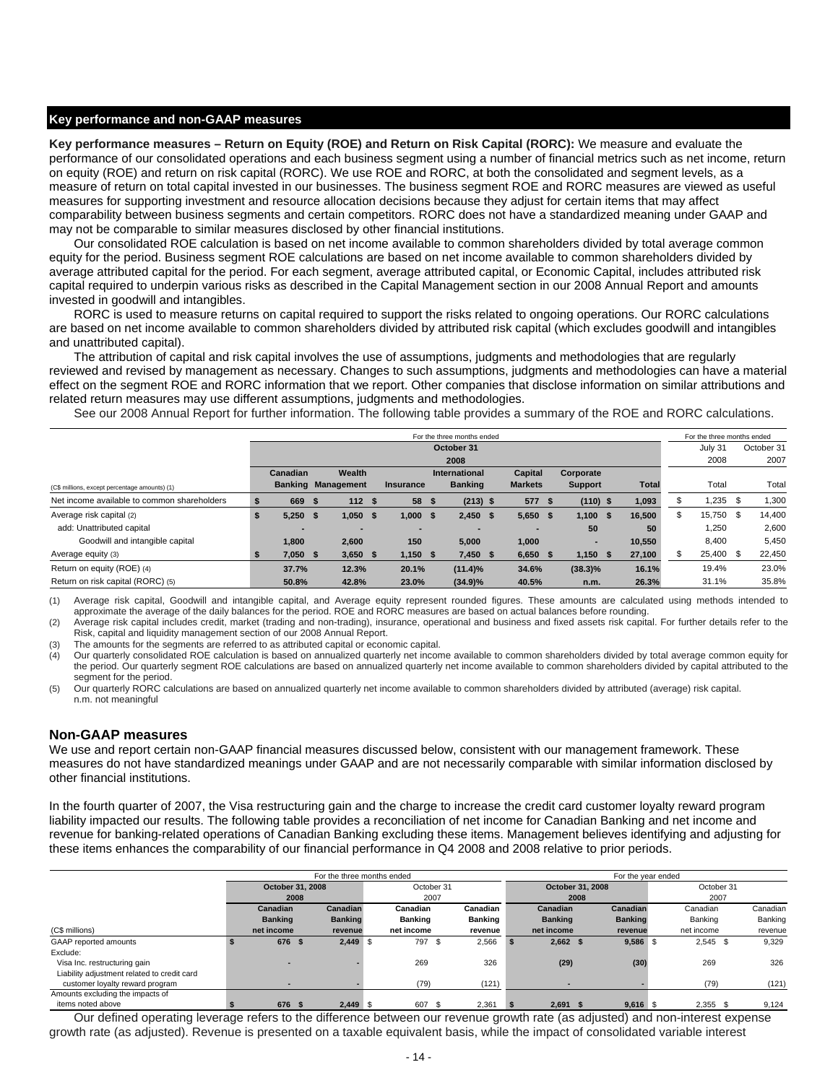#### **Key performance and non-GAAP measures**

**Key performance measures – Return on Equity (ROE) and Return on Risk Capital (RORC):** We measure and evaluate the performance of our consolidated operations and each business segment using a number of financial metrics such as net income, return on equity (ROE) and return on risk capital (RORC). We use ROE and RORC, at both the consolidated and segment levels, as a measure of return on total capital invested in our businesses. The business segment ROE and RORC measures are viewed as useful measures for supporting investment and resource allocation decisions because they adjust for certain items that may affect comparability between business segments and certain competitors. RORC does not have a standardized meaning under GAAP and may not be comparable to similar measures disclosed by other financial institutions.

Our consolidated ROE calculation is based on net income available to common shareholders divided by total average common equity for the period. Business segment ROE calculations are based on net income available to common shareholders divided by average attributed capital for the period. For each segment, average attributed capital, or Economic Capital, includes attributed risk capital required to underpin various risks as described in the Capital Management section in our 2008 Annual Report and amounts invested in goodwill and intangibles.

RORC is used to measure returns on capital required to support the risks related to ongoing operations. Our RORC calculations are based on net income available to common shareholders divided by attributed risk capital (which excludes goodwill and intangibles and unattributed capital).

The attribution of capital and risk capital involves the use of assumptions, judgments and methodologies that are regularly reviewed and revised by management as necessary. Changes to such assumptions, judgments and methodologies can have a material effect on the segment ROE and RORC information that we report. Other companies that disclose information on similar attributions and related return measures may use different assumptions, judgments and methodologies.

See our 2008 Annual Report for further information. The following table provides a summary of the ROE and RORC calculations.

|                                               |    |            |                           |                          | For the three months ended |                |                |              | For the three months ended |            |
|-----------------------------------------------|----|------------|---------------------------|--------------------------|----------------------------|----------------|----------------|--------------|----------------------------|------------|
|                                               |    |            |                           |                          | October 31                 |                |                |              | July 31                    | October 31 |
|                                               |    |            |                           |                          | 2008                       |                |                |              | 2008                       | 2007       |
|                                               |    | Canadian   | Wealth                    |                          | International              | Capital        | Corporate      |              |                            |            |
| (C\$ millions, except percentage amounts) (1) |    |            | <b>Banking Management</b> | Insurance                | <b>Banking</b>             | <b>Markets</b> | <b>Support</b> | <b>Total</b> | Total                      | Total      |
| Net income available to common shareholders   |    | 669        | 112S                      | 58 \$                    | $(213)$ \$                 | 577 \$         | $(110)$ \$     | 1,093        | $1,235$ \$                 | 1,300      |
| Average risk capital (2)                      | -S | $5,250$ \$ | $1,050$ \$                | $1,000$ \$               | $2,450$ \$                 | $5,650$ \$     | 1,100S         | 16.500       | \$<br>15,750 \$            | 14,400     |
| add: Unattributed capital                     |    |            |                           | $\overline{\phantom{0}}$ |                            |                | 50             | 50           | 1,250                      | 2,600      |
| Goodwill and intangible capital               |    | 1,800      | 2,600                     | 150                      | 5,000                      | 1,000          |                | 10,550       | 8,400                      | 5,450      |
| Average equity (3)                            |    | $7,050$ \$ | $3,650$ \$                | $1,150$ \$               | $7,450$ \$                 | $6,650$ \$     | $1,150$ \$     | 27,100       | 25,400 \$                  | 22,450     |
| Return on equity (ROE) (4)                    |    | 37.7%      | 12.3%                     | 20.1%                    | $(11.4)\%$                 | 34.6%          | $(38.3)\%$     | 16.1%        | 19.4%                      | 23.0%      |
| Return on risk capital (RORC) (5)             |    | 50.8%      | 42.8%                     | 23.0%                    | $(34.9)\%$                 | 40.5%          | n.m.           | 26.3%        | 31.1%                      | 35.8%      |

(1) Average risk capital, Goodwill and intangible capital, and Average equity represent rounded figures. These amounts are calculated using methods intended to approximate the average of the daily balances for the period. ROE and RORC measures are based on actual balances before rounding.

(2) Average risk capital includes credit, market (trading and non-trading), insurance, operational and business and fixed assets risk capital. For further details refer to the Risk, capital and liquidity management section of our 2008 Annual Report.

The amounts for the segments are referred to as attributed capital or economic capital.

(4) Our quarterly consolidated ROE calculation is based on annualized quarterly net income available to common shareholders divided by total average common equity for the period. Our quarterly segment ROE calculations are based on annualized quarterly net income available to common shareholders divided by capital attributed to the segment for the period.

(5) Our quarterly RORC calculations are based on annualized quarterly net income available to common shareholders divided by attributed (average) risk capital. n.m. not meaningful

### **Non-GAAP measures**

We use and report certain non-GAAP financial measures discussed below, consistent with our management framework. These measures do not have standardized meanings under GAAP and are not necessarily comparable with similar information disclosed by other financial institutions.

In the fourth quarter of 2007, the Visa restructuring gain and the charge to increase the credit card customer loyalty reward program liability impacted our results. The following table provides a reconciliation of net income for Canadian Banking and net income and revenue for banking-related operations of Canadian Banking excluding these items. Management believes identifying and adjusting for these items enhances the comparability of our financial performance in Q4 2008 and 2008 relative to prior periods.

|                                             |                  | For the three months ended |            | For the year ended |                |      |                  |      |                |            |            |      |          |
|---------------------------------------------|------------------|----------------------------|------------|--------------------|----------------|------|------------------|------|----------------|------------|------------|------|----------|
|                                             | October 31, 2008 |                            | October 31 |                    |                |      | October 31, 2008 |      |                | October 31 |            |      |          |
|                                             |                  | 2008                       |            | 2007               |                | 2008 |                  | 2007 |                |            |            |      |          |
|                                             | Canadian         | Canadian                   |            | Canadian           | Canadian       |      | Canadian         |      | Canadian       |            | Canadian   |      | Canadian |
|                                             | <b>Banking</b>   | <b>Banking</b>             |            | <b>Banking</b>     | <b>Banking</b> |      | <b>Banking</b>   |      | <b>Banking</b> |            | Banking    |      | Banking  |
| (C\$ millions)                              | net income       | revenue                    |            | net income         | revenue        |      | net income       |      | revenue        |            | net income |      | revenue  |
| GAAP reported amounts                       | 676              | $2,449$ \$                 |            | 797 \$             | 2,566          |      | $2,662$ \$       |      | 9,586 \$       |            | $2,545$ \$ |      | 9,329    |
| Exclude:                                    |                  |                            |            |                    |                |      |                  |      |                |            |            |      |          |
| Visa Inc. restructuring gain                |                  |                            |            | 269                | 326            |      | (29)             |      | (30)           |            | 269        |      | 326      |
| Liability adjustment related to credit card |                  |                            |            |                    |                |      |                  |      |                |            |            |      |          |
| customer loyalty reward program             |                  |                            |            | (79)               | (121)          |      |                  |      |                |            | (79)       |      | (121)    |
| Amounts excluding the impacts of            |                  |                            |            |                    |                |      |                  |      |                |            |            |      |          |
| items noted above                           | 676              | $2,449$ \$                 |            | 607<br>- 35        | 2,361          |      | $2,691$ \$       |      | $9,616$ \$     |            | 2,355      | - \$ | 9,124    |

Our defined operating leverage refers to the difference between our revenue growth rate (as adjusted) and non-interest expense growth rate (as adjusted). Revenue is presented on a taxable equivalent basis, while the impact of consolidated variable interest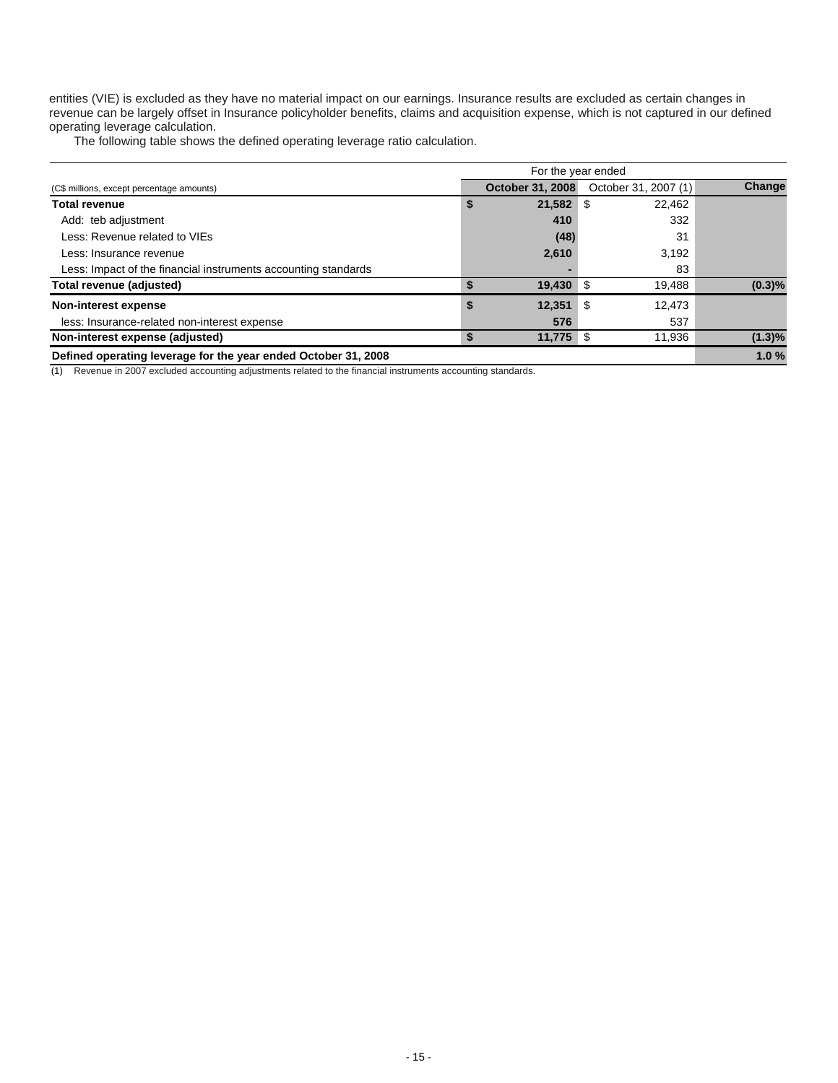entities (VIE) is excluded as they have no material impact on our earnings. Insurance results are excluded as certain changes in revenue can be largely offset in Insurance policyholder benefits, claims and acquisition expense, which is not captured in our defined operating leverage calculation.

The following table shows the defined operating leverage ratio calculation.

| For the year ended                                             |    |                         |                      |           |  |  |  |  |  |
|----------------------------------------------------------------|----|-------------------------|----------------------|-----------|--|--|--|--|--|
| (C\$ millions, except percentage amounts)                      |    | <b>October 31, 2008</b> | October 31, 2007 (1) | Change    |  |  |  |  |  |
| <b>Total revenue</b>                                           | \$ | $21,582$ \$             | 22.462               |           |  |  |  |  |  |
| Add: teb adjustment                                            |    | 410                     | 332                  |           |  |  |  |  |  |
| Less: Revenue related to VIEs                                  |    | (48)                    | 31                   |           |  |  |  |  |  |
| Less: Insurance revenue                                        |    | 2,610                   | 3,192                |           |  |  |  |  |  |
| Less: Impact of the financial instruments accounting standards |    |                         | 83                   |           |  |  |  |  |  |
| Total revenue (adjusted)                                       |    | $19,430$ \$             | 19,488               | (0.3)%    |  |  |  |  |  |
| Non-interest expense                                           | \$ | 12,351                  | 12,473<br>- \$       |           |  |  |  |  |  |
| less: Insurance-related non-interest expense                   |    | 576                     | 537                  |           |  |  |  |  |  |
| Non-interest expense (adjusted)                                |    | $11,775$ \$             | 11.936               | $(1.3)\%$ |  |  |  |  |  |
| Defined operating leverage for the year ended October 31, 2008 |    |                         |                      | 1.0%      |  |  |  |  |  |

(1) Revenue in 2007 excluded accounting adjustments related to the financial instruments accounting standards.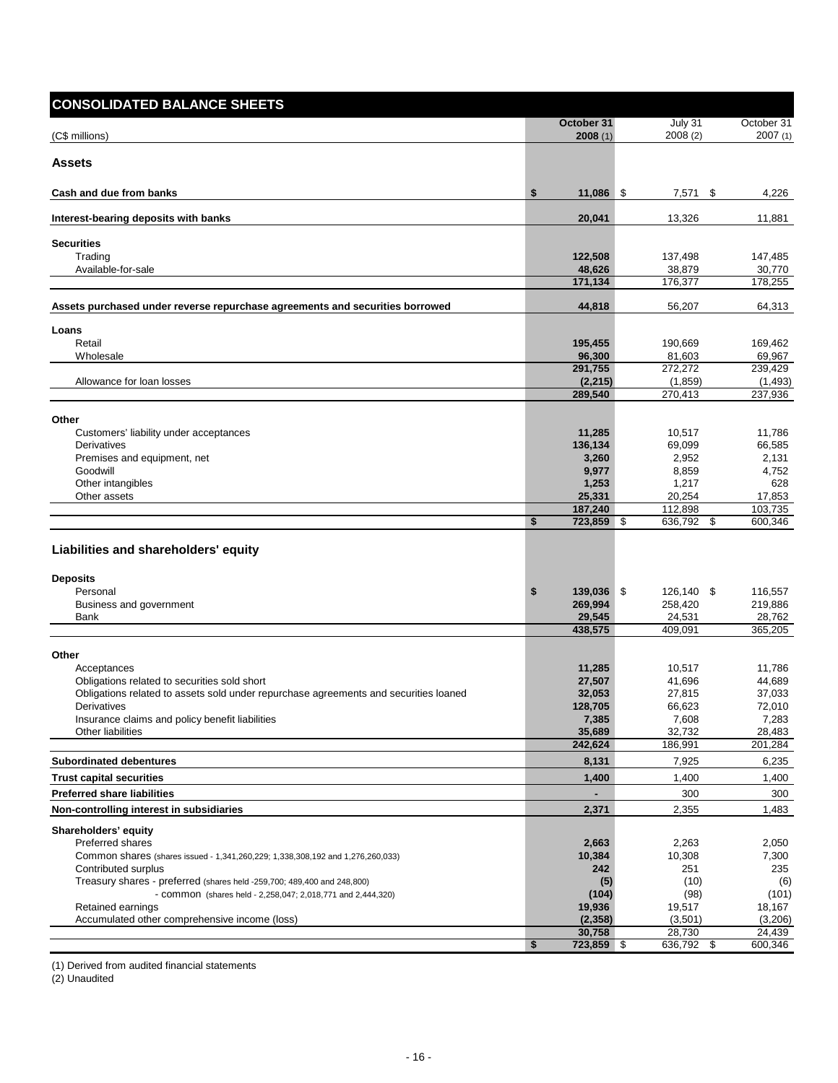| <b>CONSOLIDATED BALANCE SHEETS</b>                                                   |                     |                    |                     |
|--------------------------------------------------------------------------------------|---------------------|--------------------|---------------------|
|                                                                                      | October 31          | $July$ 31          | October 31          |
| (C\$ millions)                                                                       | 2008(1)             | 2008 (2)           | 2007(1)             |
| Assets                                                                               |                     |                    |                     |
| Cash and due from banks                                                              | \$<br>11,086 \$     | 7,571 \$           | 4,226               |
| Interest-bearing deposits with banks                                                 | 20,041              | 13,326             | 11,881              |
| <b>Securities</b>                                                                    |                     |                    |                     |
| Trading                                                                              | 122,508             | 137,498            | 147,485             |
| Available-for-sale                                                                   | 48,626              | 38,879             | 30,770              |
|                                                                                      | 171,134             | 176,377            | 178,255             |
| Assets purchased under reverse repurchase agreements and securities borrowed         | 44,818              | 56,207             | 64,313              |
| Loans                                                                                |                     |                    |                     |
| Retail                                                                               | 195,455             | 190,669            | 169,462             |
| Wholesale                                                                            | 96,300              | 81,603             | 69,967              |
|                                                                                      | 291,755             | 272,272            | 239,429             |
| Allowance for loan losses                                                            | (2, 215)<br>289,540 | (1,859)<br>270,413 | (1, 493)<br>237,936 |
|                                                                                      |                     |                    |                     |
| Other                                                                                |                     |                    |                     |
| Customers' liability under acceptances<br>Derivatives                                | 11,285<br>136,134   | 10,517<br>69,099   | 11,786<br>66,585    |
| Premises and equipment, net                                                          | 3,260               | 2,952              | 2,131               |
| Goodwill                                                                             | 9,977               | 8,859              | 4,752               |
| Other intangibles                                                                    | 1,253               | 1,217              | 628                 |
| Other assets                                                                         | 25,331              | 20,254             | 17,853              |
|                                                                                      | 187,240             | 112,898            | 103,735             |
|                                                                                      | \$<br>723,859 \$    | 636,792 \$         | 600,346             |
| Liabilities and shareholders' equity                                                 |                     |                    |                     |
| <b>Deposits</b>                                                                      |                     |                    |                     |
| Personal                                                                             | \$<br>139,036 \$    | 126,140 \$         | 116,557             |
| Business and government                                                              | 269,994             | 258,420            | 219,886             |
| Bank                                                                                 | 29,545              | 24,531             | 28,762              |
|                                                                                      | 438,575             | 409,091            | 365,205             |
| Other                                                                                |                     |                    |                     |
| Acceptances                                                                          | 11,285              | 10,517             | 11,786              |
| Obligations related to securities sold short                                         | 27,507              | 41,696             | 44,689              |
| Obligations related to assets sold under repurchase agreements and securities loaned | 32,053              | 27,815             | 37,033              |
| Derivatives                                                                          | 128,705             | 66,623             | 72,010              |
| Insurance claims and policy benefit liabilities<br>Other liabilities                 | 7,385<br>35,689     | 7,608<br>32,732    | 7,283<br>28,483     |
|                                                                                      | 242,624             | 186,991            | 201,284             |
| <b>Subordinated debentures</b>                                                       | 8,131               | 7,925              | 6,235               |
| <b>Trust capital securities</b>                                                      | 1,400               | 1,400              | 1,400               |
| <b>Preferred share liabilities</b>                                                   |                     | 300                | 300                 |
| Non-controlling interest in subsidiaries                                             | 2,371               | 2,355              | 1,483               |
| Shareholders' equity                                                                 |                     |                    |                     |
| <b>Preferred shares</b>                                                              | 2,663               | 2,263              | 2,050               |
| Common shares (shares issued - 1,341,260,229; 1,338,308,192 and 1,276,260,033)       | 10,384              | 10,308             | 7,300               |
| Contributed surplus                                                                  | 242                 | 251                | 235                 |
| Treasury shares - preferred (shares held -259,700; 489,400 and 248,800)              | (5)                 | (10)               | (6)                 |
| - COMMON (shares held - 2,258,047; 2,018,771 and 2,444,320)                          | (104)               | (98)               | (101)               |
| Retained earnings<br>Accumulated other comprehensive income (loss)                   | 19,936<br>(2,358)   | 19,517<br>(3,501)  | 18,167<br>(3,206)   |
|                                                                                      | 30,758              | 28,730             | 24,439              |
|                                                                                      | \$<br>723,859 \$    | 636,792 \$         | 600,346             |

(1) Derived from audited financial statements

(2) Unaudited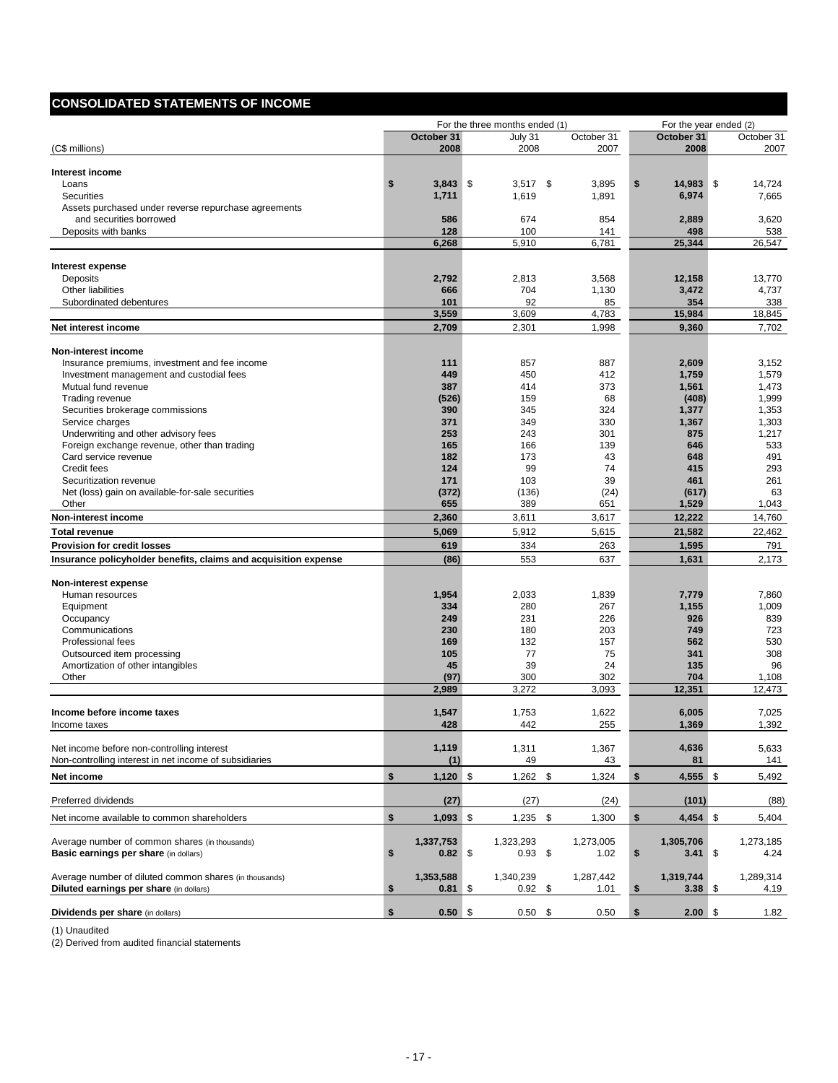# **CONSOLIDATED STATEMENTS OF INCOME**

|                                                                 |                  | For the three months ended (1) |              | For the year ended (2) |                |
|-----------------------------------------------------------------|------------------|--------------------------------|--------------|------------------------|----------------|
|                                                                 | October 31       | July 31                        | October 31   | October 31             | October 31     |
| (C\$ millions)                                                  | 2008             | 2008                           | 2007         | 2008                   | 2007           |
|                                                                 |                  |                                |              |                        |                |
| Interest income<br>Loans                                        | \$<br>$3,843$ \$ | $3,517$ \$                     | 3,895        | \$<br>14.983 \$        | 14,724         |
| <b>Securities</b>                                               | 1,711            | 1,619                          | 1,891        | 6,974                  | 7,665          |
| Assets purchased under reverse repurchase agreements            |                  |                                |              |                        |                |
| and securities borrowed                                         | 586              | 674                            | 854          | 2,889                  | 3,620          |
| Deposits with banks                                             | 128              | 100                            | 141          | 498                    | 538            |
|                                                                 | 6,268            | 5,910                          | 6,781        | 25,344                 | 26,547         |
|                                                                 |                  |                                |              |                        |                |
| <b>Interest expense</b><br>Deposits                             | 2,792            | 2,813                          | 3,568        | 12,158                 | 13,770         |
| Other liabilities                                               | 666              | 704                            | 1,130        | 3,472                  | 4,737          |
| Subordinated debentures                                         | 101              | 92                             | 85           | 354                    | 338            |
|                                                                 | 3,559            | 3,609                          | 4,783        | 15,984                 | 18,845         |
| Net interest income                                             | 2,709            | 2,301                          | 1,998        | 9,360                  | 7,702          |
|                                                                 |                  |                                |              |                        |                |
| Non-interest income                                             |                  |                                |              |                        |                |
| Insurance premiums, investment and fee income                   | 111              | 857                            | 887          | 2,609                  | 3,152          |
| Investment management and custodial fees                        | 449              | 450                            | 412          | 1,759                  | 1,579          |
| Mutual fund revenue                                             | 387              | 414<br>159                     | 373<br>68    | 1,561                  | 1,473<br>1,999 |
| Trading revenue<br>Securities brokerage commissions             | (526)<br>390     | 345                            | 324          | (408)<br>1,377         | 1,353          |
| Service charges                                                 | 371              | 349                            | 330          | 1,367                  | 1,303          |
| Underwriting and other advisory fees                            | 253              | 243                            | 301          | 875                    | 1,217          |
| Foreign exchange revenue, other than trading                    | 165              | 166                            | 139          | 646                    | 533            |
| Card service revenue                                            | 182              | 173                            | 43           | 648                    | 491            |
| Credit fees                                                     | 124              | 99                             | 74           | 415                    | 293            |
| Securitization revenue                                          | 171              | 103                            | 39           | 461                    | 261            |
| Net (loss) gain on available-for-sale securities                | (372)            | (136)                          | (24)         | (617)                  | 63             |
| Other                                                           | 655              | 389                            | 651          | 1,529                  | 1,043          |
| Non-interest income                                             | 2,360            | 3,611                          | 3,617        | 12,222                 | 14,760         |
| <b>Total revenue</b>                                            | 5,069            | 5,912                          | 5,615        | 21,582                 | 22,462         |
| <b>Provision for credit losses</b>                              | 619              | 334                            | 263          | 1,595                  | 791            |
| Insurance policyholder benefits, claims and acquisition expense | (86)             | 553                            | 637          | 1,631                  | 2,173          |
|                                                                 |                  |                                |              |                        |                |
| Non-interest expense                                            | 1,954            | 2,033                          |              |                        | 7,860          |
| Human resources<br>Equipment                                    | 334              | 280                            | 1,839<br>267 | 7,779<br>1,155         | 1,009          |
| Occupancy                                                       | 249              | 231                            | 226          | 926                    | 839            |
| Communications                                                  | 230              | 180                            | 203          | 749                    | 723            |
| Professional fees                                               | 169              | 132                            | 157          | 562                    | 530            |
| Outsourced item processing                                      | 105              | 77                             | 75           | 341                    | 308            |
| Amortization of other intangibles                               | 45               | 39                             | 24           | 135                    | 96             |
| Other                                                           | (97)             | 300                            | 302          | 704                    | 1,108          |
|                                                                 | 2,989            | 3,272                          | 3,093        | 12,351                 | 12,473         |
|                                                                 |                  |                                |              |                        |                |
| Income before income taxes                                      | 1,547            | 1,753                          | 1,622<br>255 | 6,005                  | 7,025<br>1,392 |
| income taxes                                                    | 428              | 442                            |              | <u>1,369 </u>          |                |
| Net income before non-controlling interest                      | 1,119            | 1,311                          | 1,367        | 4,636                  | 5,633          |
| Non-controlling interest in net income of subsidiaries          | (1)              | 49                             | 43           | 81                     | 141            |
| Net income                                                      | \$<br>$1,120$ \$ | $1,262$ \$                     | 1,324        | \$<br>$4,555$ \$       | 5,492          |
| Preferred dividends                                             | (27)             | (27)                           | (24)         | (101)                  | (88)           |
| Net income available to common shareholders                     | \$<br>$1,093$ \$ | $1,235$ \$                     | 1,300        | \$<br>$4,454$ \$       | 5,404          |
|                                                                 |                  |                                |              |                        |                |
| Average number of common shares (in thousands)                  | 1,337,753        | 1,323,293                      | 1,273,005    | 1,305,706              | 1,273,185      |
| Basic earnings per share (in dollars)                           | \$<br>$0.82$ \$  | $0.93$ \$                      | 1.02         | \$<br>$3.41 \quad$     | 4.24           |
|                                                                 |                  |                                |              |                        |                |
| Average number of diluted common shares (in thousands)          | 1,353,588        | 1,340,239                      | 1,287,442    | 1,319,744              | 1,289,314      |
| Diluted earnings per share (in dollars)                         | \$<br>$0.81$ \$  | $0.92$ \$                      | 1.01         | \$<br>$3.38\%$         | 4.19           |
| <b>Dividends per share (in dollars)</b>                         | \$<br>$0.50$ \$  | $0.50\quad$ \$                 | 0.50         | \$<br>2.00%            | 1.82           |

(1) Unaudited

(2) Derived from audited financial statements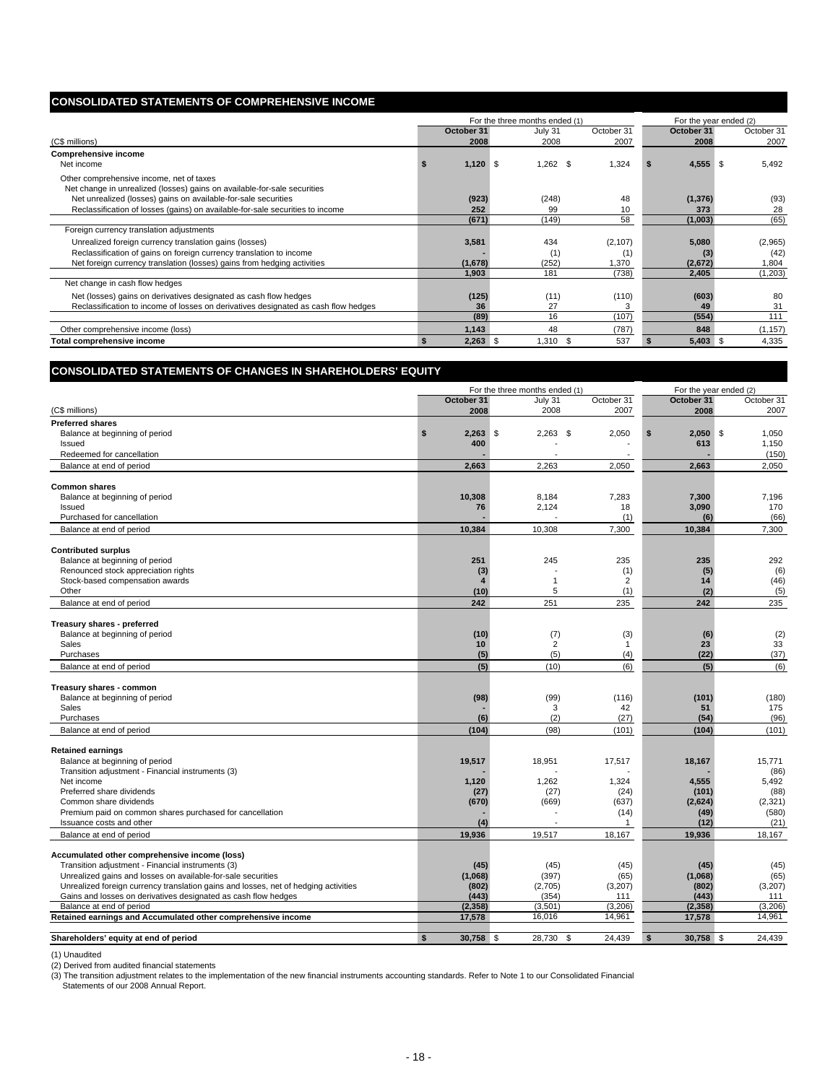# **CONSOLIDATED STATEMENTS OF COMPREHENSIVE INCOME**

|                                                                                                                      |            | For the three months ended (1) |             |       | For the year ended (2) |            |  |  |  |
|----------------------------------------------------------------------------------------------------------------------|------------|--------------------------------|-------------|-------|------------------------|------------|--|--|--|
|                                                                                                                      | October 31 | July 31                        | October 31  |       | October 31             | October 31 |  |  |  |
| (C\$ millions)                                                                                                       | 2008       | 2008                           | 2007        |       | 2008                   | 2007       |  |  |  |
| <b>Comprehensive income</b>                                                                                          |            |                                |             |       |                        |            |  |  |  |
| Net income                                                                                                           | $1,120$ \$ | $1,262$ \$                     | 1,324       |       | $4,555$ \$             | 5,492      |  |  |  |
| Other comprehensive income, net of taxes<br>Net change in unrealized (losses) gains on available-for-sale securities |            |                                |             |       |                        |            |  |  |  |
| Net unrealized (losses) gains on available-for-sale securities                                                       | (923)      | (248)                          |             | 48    | (1, 376)               | (93)       |  |  |  |
| Reclassification of losses (gains) on available-for-sale securities to income                                        | 252        | 99                             |             | 10    | 373                    | 28         |  |  |  |
|                                                                                                                      | (671)      | (149)                          |             | 58    | (1,003)                | (65)       |  |  |  |
| Foreign currency translation adjustments                                                                             |            |                                |             |       |                        |            |  |  |  |
| Unrealized foreign currency translation gains (losses)                                                               | 3,581      | 434                            | (2, 107)    |       | 5,080                  | (2,965)    |  |  |  |
| Reclassification of gains on foreign currency translation to income                                                  |            | (1)                            |             | (1)   | (3)                    | (42)       |  |  |  |
| Net foreign currency translation (losses) gains from hedging activities                                              | (1,678)    | (252)                          | 1,370       |       | (2,672)                | 1,804      |  |  |  |
|                                                                                                                      | 1,903      | 181                            |             | (738) | 2,405                  | (1,203)    |  |  |  |
| Net change in cash flow hedges                                                                                       |            |                                |             |       |                        |            |  |  |  |
| Net (losses) gains on derivatives designated as cash flow hedges                                                     | (125)      | (11)                           | (110)       |       | (603)                  | 80         |  |  |  |
| Reclassification to income of losses on derivatives designated as cash flow hedges                                   | 36         | 27                             |             |       | 49                     | 31         |  |  |  |
|                                                                                                                      | (89)       | 16                             | (107)       |       | (554)                  | 111        |  |  |  |
| Other comprehensive income (loss)                                                                                    | 1,143      | 48                             | (787)       |       | 848                    | (1, 157)   |  |  |  |
| Total comprehensive income                                                                                           | $2,263$ \$ | 1.310                          | 537<br>- \$ |       | $5,403$ \$             | 4,335      |  |  |  |

### **CONSOLIDATED STATEMENTS OF CHANGES IN SHAREHOLDERS' EQUITY**

|                                                                                     |                           | For the three months ended (1) |                |                  | For the year ended (2) |
|-------------------------------------------------------------------------------------|---------------------------|--------------------------------|----------------|------------------|------------------------|
|                                                                                     | October 31                | July 31                        | October 31     | October 31       | October 31             |
| (C\$ millions)                                                                      | 2008                      | 2008                           | 2007           | 2008             | 2007                   |
| <b>Preferred shares</b>                                                             |                           |                                |                |                  |                        |
| Balance at beginning of period                                                      | \$<br>2,263               | \$<br>$2,263$ \$               | 2,050          | $2,050$ \$<br>\$ | 1,050                  |
| Issued                                                                              | 400                       |                                |                | 613              | 1,150                  |
| Redeemed for cancellation                                                           |                           |                                |                |                  | (150)                  |
| Balance at end of period                                                            | 2,663                     | 2,263                          | 2,050          | 2,663            | 2,050                  |
| <b>Common shares</b>                                                                |                           |                                |                |                  |                        |
| Balance at beginning of period                                                      | 10,308                    | 8,184                          | 7.283          | 7.300            | 7,196                  |
| Issued                                                                              | 76                        | 2,124                          | 18             | 3,090            | 170                    |
| Purchased for cancellation                                                          |                           |                                | (1)            | (6)              | (66)                   |
| Balance at end of period                                                            | 10,384                    | 10,308                         | 7,300          | 10,384           | 7,300                  |
|                                                                                     |                           |                                |                |                  |                        |
| <b>Contributed surplus</b>                                                          | 251                       |                                | 235            | 235              | 292                    |
| Balance at beginning of period<br>Renounced stock appreciation rights               |                           | 245                            | (1)            |                  | (6)                    |
| Stock-based compensation awards                                                     | (3)<br>$\overline{4}$     | $\mathbf{1}$                   | $\overline{2}$ | (5)<br>14        | (46)                   |
| Other                                                                               | (10)                      | 5                              | (1)            | (2)              | (5)                    |
| Balance at end of period                                                            | 242                       | 251                            | 235            | 242              | 235                    |
|                                                                                     |                           |                                |                |                  |                        |
| Treasury shares - preferred                                                         |                           |                                |                |                  |                        |
| Balance at beginning of period                                                      | (10)                      | (7)                            | (3)            | (6)              | (2)                    |
| Sales                                                                               | 10                        | $\overline{2}$                 | $\overline{1}$ | 23               | 33                     |
| Purchases                                                                           | (5)                       | (5)                            | (4)            | (22)             | (37)                   |
| Balance at end of period                                                            | (5)                       | (10)                           | (6)            | (5)              | (6)                    |
| Treasury shares - common                                                            |                           |                                |                |                  |                        |
| Balance at beginning of period                                                      | (98)                      | (99)                           | (116)          | (101)            | (180)                  |
| Sales                                                                               |                           | 3                              | 42             | 51               | 175                    |
| Purchases                                                                           | (6)                       | (2)                            | (27)           | (54)             | (96)                   |
| Balance at end of period                                                            | (104)                     | (98)                           | (101)          | (104)            | (101)                  |
| <b>Retained earnings</b>                                                            |                           |                                |                |                  |                        |
| Balance at beginning of period                                                      | 19,517                    | 18,951                         | 17,517         | 18,167           | 15,771                 |
| Transition adjustment - Financial instruments (3)                                   |                           |                                |                |                  | (86)                   |
| Net income                                                                          | 1,120                     | 1,262                          | 1,324          | 4,555            | 5,492                  |
| Preferred share dividends                                                           | (27)                      | (27)                           | (24)           | (101)            | (88)                   |
| Common share dividends                                                              | (670)                     | (669)                          | (637)          | (2,624)          | (2, 321)               |
| Premium paid on common shares purchased for cancellation                            |                           |                                | (14)           | (49)             | (580)                  |
| Issuance costs and other                                                            | (4)                       |                                | $\mathbf{1}$   | (12)             | (21)                   |
| Balance at end of period                                                            | 19,936                    | 19,517                         | 18,167         | 19,936           | 18,167                 |
| Accumulated other comprehensive income (loss)                                       |                           |                                |                |                  |                        |
| Transition adjustment - Financial instruments (3)                                   | (45)                      | (45)                           | (45)           | (45)             | (45)                   |
| Unrealized gains and losses on available-for-sale securities                        | (1,068)                   | (397)                          | (65)           | (1,068)          | (65)                   |
| Unrealized foreign currency translation gains and losses, net of hedging activities | (802)                     | (2,705)                        | (3,207)        | (802)            | (3,207)                |
| Gains and losses on derivatives designated as cash flow hedges                      | (443)                     | (354)                          | 111            | (443)            | 111                    |
| Balance at end of period                                                            | (2, 358)                  | (3,501)                        | (3,206)        | (2, 358)         | (3,206)                |
| Retained earnings and Accumulated other comprehensive income                        | 17,578                    | 16,016                         | 14,961         | 17,578           | 14,961                 |
| Shareholders' equity at end of period                                               | $\mathbf{s}$<br>30,758 \$ | 28.730                         | 24.439<br>- \$ | 30,758 \$<br>\$  | 24.439                 |

(1) Unaudited<br>(2) Derived from audited financial statements<br>(3) The transition adjustment relates to the implementation of the new financial instruments accounting standards. Refer to Note 1 to our Consolidated Financial<br>(